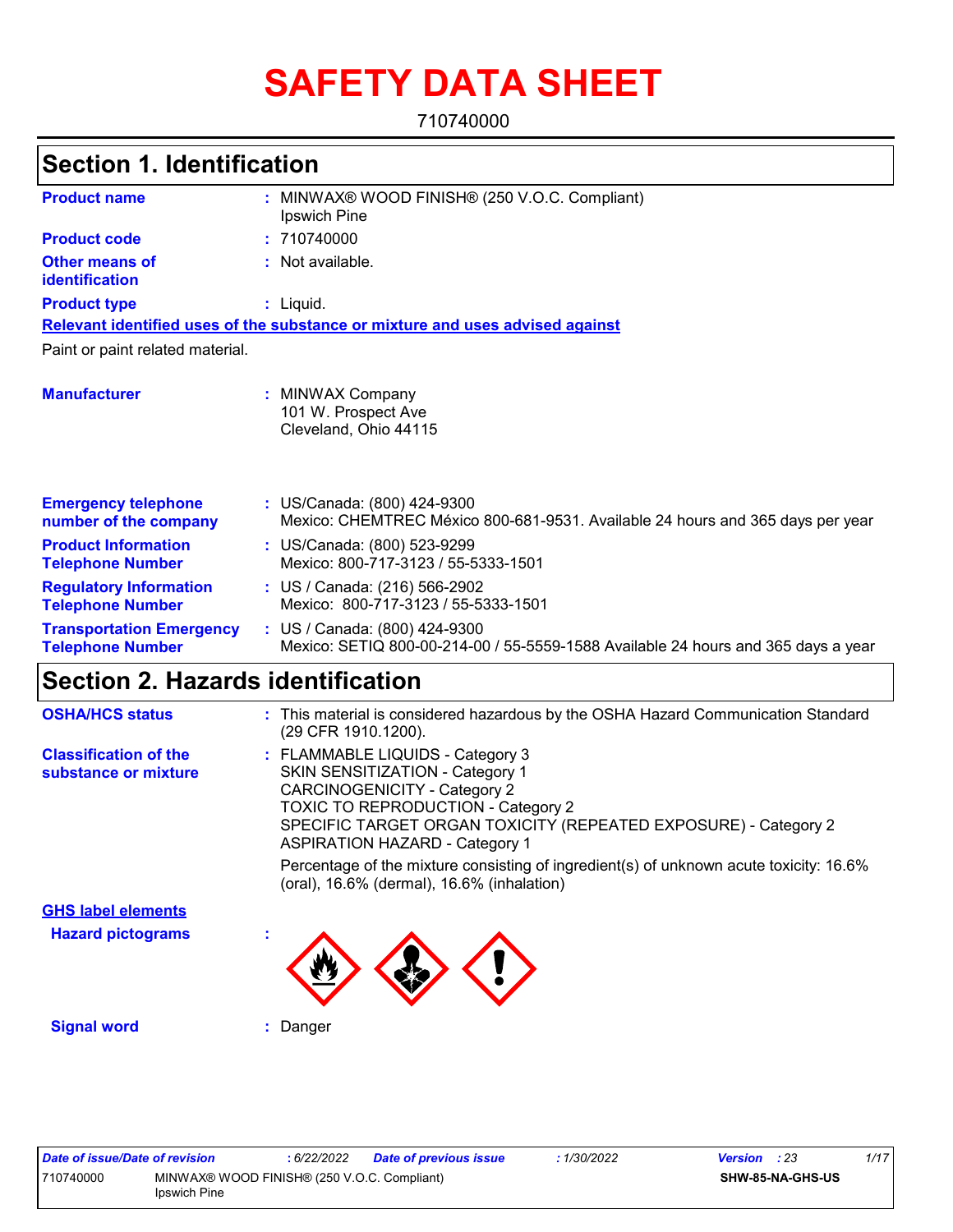# **SAFETY DATA SHEET**

710740000

| <b>Section 1. Identification</b>                           |                                                                                                                    |
|------------------------------------------------------------|--------------------------------------------------------------------------------------------------------------------|
| <b>Product name</b>                                        | MINWAX® WOOD FINISH® (250 V.O.C. Compliant)<br>Ipswich Pine                                                        |
| <b>Product code</b>                                        | : 710740000                                                                                                        |
| Other means of<br>identification                           | : Not available.                                                                                                   |
| <b>Product type</b>                                        | $:$ Liquid.                                                                                                        |
|                                                            | Relevant identified uses of the substance or mixture and uses advised against                                      |
| Paint or paint related material.                           |                                                                                                                    |
| <b>Manufacturer</b>                                        | : MINWAX Company<br>101 W. Prospect Ave<br>Cleveland, Ohio 44115                                                   |
| <b>Emergency telephone</b><br>number of the company        | : US/Canada: (800) 424-9300<br>Mexico: CHEMTREC México 800-681-9531. Available 24 hours and 365 days per year      |
| <b>Product Information</b><br><b>Telephone Number</b>      | : US/Canada: (800) 523-9299<br>Mexico: 800-717-3123 / 55-5333-1501                                                 |
| <b>Regulatory Information</b><br><b>Telephone Number</b>   | : US / Canada: (216) 566-2902<br>Mexico: 800-717-3123 / 55-5333-1501                                               |
| <b>Transportation Emergency</b><br><b>Telephone Number</b> | : US / Canada: (800) 424-9300<br>Mexico: SETIQ 800-00-214-00 / 55-5559-1588 Available 24 hours and 365 days a year |

### **Section 2. Hazards identification**

| <b>OSHA/HCS status</b>                               | : This material is considered hazardous by the OSHA Hazard Communication Standard<br>(29 CFR 1910.1200).                                                                                                                                                                                                                                                      |
|------------------------------------------------------|---------------------------------------------------------------------------------------------------------------------------------------------------------------------------------------------------------------------------------------------------------------------------------------------------------------------------------------------------------------|
| <b>Classification of the</b><br>substance or mixture | : FLAMMABLE LIQUIDS - Category 3<br>SKIN SENSITIZATION - Category 1<br><b>CARCINOGENICITY - Category 2</b><br><b>TOXIC TO REPRODUCTION - Category 2</b><br>SPECIFIC TARGET ORGAN TOXICITY (REPEATED EXPOSURE) - Category 2<br><b>ASPIRATION HAZARD - Category 1</b><br>Percentage of the mixture consisting of ingredient(s) of unknown acute toxicity: 16.6% |
|                                                      | (oral), 16.6% (dermal), 16.6% (inhalation)                                                                                                                                                                                                                                                                                                                    |
| <b>GHS label elements</b>                            |                                                                                                                                                                                                                                                                                                                                                               |
| <b>Hazard pictograms</b>                             |                                                                                                                                                                                                                                                                                                                                                               |
| <b>Signal word</b>                                   | : Danger                                                                                                                                                                                                                                                                                                                                                      |

| Date of issue/Date of revision |                                                             | : 6/22/2022 | <b>Date of previous issue</b> | : 1/30/2022 | <b>Version</b> : 23 |                         | 1/17 |
|--------------------------------|-------------------------------------------------------------|-------------|-------------------------------|-------------|---------------------|-------------------------|------|
| 710740000                      | MINWAX® WOOD FINISH® (250 V.O.C. Compliant)<br>Ipswich Pine |             |                               |             |                     | <b>SHW-85-NA-GHS-US</b> |      |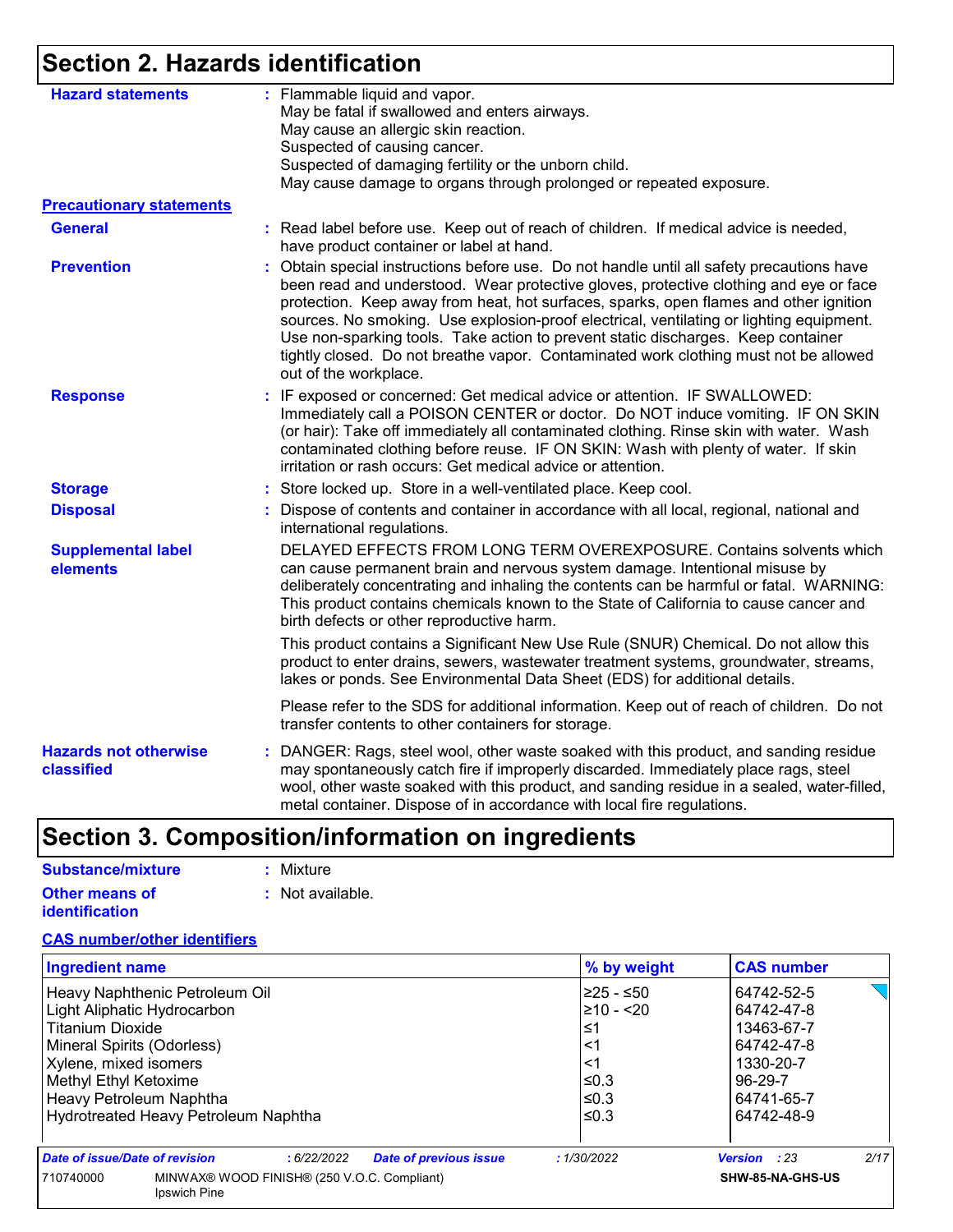### **Section 2. Hazards identification**

| <b>Hazard statements</b>                   | : Flammable liquid and vapor.<br>May be fatal if swallowed and enters airways.                                                                                                                                                                                                                                                                                                                                                                                                                                                                                                  |
|--------------------------------------------|---------------------------------------------------------------------------------------------------------------------------------------------------------------------------------------------------------------------------------------------------------------------------------------------------------------------------------------------------------------------------------------------------------------------------------------------------------------------------------------------------------------------------------------------------------------------------------|
|                                            | May cause an allergic skin reaction.                                                                                                                                                                                                                                                                                                                                                                                                                                                                                                                                            |
|                                            | Suspected of causing cancer.                                                                                                                                                                                                                                                                                                                                                                                                                                                                                                                                                    |
|                                            | Suspected of damaging fertility or the unborn child.                                                                                                                                                                                                                                                                                                                                                                                                                                                                                                                            |
|                                            | May cause damage to organs through prolonged or repeated exposure.                                                                                                                                                                                                                                                                                                                                                                                                                                                                                                              |
| <b>Precautionary statements</b>            |                                                                                                                                                                                                                                                                                                                                                                                                                                                                                                                                                                                 |
| <b>General</b>                             | : Read label before use. Keep out of reach of children. If medical advice is needed,<br>have product container or label at hand.                                                                                                                                                                                                                                                                                                                                                                                                                                                |
| <b>Prevention</b>                          | Obtain special instructions before use. Do not handle until all safety precautions have<br>÷.<br>been read and understood. Wear protective gloves, protective clothing and eye or face<br>protection. Keep away from heat, hot surfaces, sparks, open flames and other ignition<br>sources. No smoking. Use explosion-proof electrical, ventilating or lighting equipment.<br>Use non-sparking tools. Take action to prevent static discharges. Keep container<br>tightly closed. Do not breathe vapor. Contaminated work clothing must not be allowed<br>out of the workplace. |
| <b>Response</b>                            | : IF exposed or concerned: Get medical advice or attention. IF SWALLOWED:<br>Immediately call a POISON CENTER or doctor. Do NOT induce vomiting. IF ON SKIN<br>(or hair): Take off immediately all contaminated clothing. Rinse skin with water. Wash<br>contaminated clothing before reuse. IF ON SKIN: Wash with plenty of water. If skin<br>irritation or rash occurs: Get medical advice or attention.                                                                                                                                                                      |
| <b>Storage</b>                             | : Store locked up. Store in a well-ventilated place. Keep cool.                                                                                                                                                                                                                                                                                                                                                                                                                                                                                                                 |
| <b>Disposal</b>                            | : Dispose of contents and container in accordance with all local, regional, national and<br>international regulations.                                                                                                                                                                                                                                                                                                                                                                                                                                                          |
| <b>Supplemental label</b><br>elements      | DELAYED EFFECTS FROM LONG TERM OVEREXPOSURE. Contains solvents which<br>can cause permanent brain and nervous system damage. Intentional misuse by<br>deliberately concentrating and inhaling the contents can be harmful or fatal. WARNING:<br>This product contains chemicals known to the State of California to cause cancer and<br>birth defects or other reproductive harm.                                                                                                                                                                                               |
|                                            | This product contains a Significant New Use Rule (SNUR) Chemical. Do not allow this<br>product to enter drains, sewers, wastewater treatment systems, groundwater, streams,<br>lakes or ponds. See Environmental Data Sheet (EDS) for additional details.                                                                                                                                                                                                                                                                                                                       |
|                                            | Please refer to the SDS for additional information. Keep out of reach of children. Do not<br>transfer contents to other containers for storage.                                                                                                                                                                                                                                                                                                                                                                                                                                 |
| <b>Hazards not otherwise</b><br>classified | : DANGER: Rags, steel wool, other waste soaked with this product, and sanding residue<br>may spontaneously catch fire if improperly discarded. Immediately place rags, steel<br>wool, other waste soaked with this product, and sanding residue in a sealed, water-filled,<br>metal container. Dispose of in accordance with local fire regulations.                                                                                                                                                                                                                            |

### **Section 3. Composition/information on ingredients**

| Substance/mixture                              | : Mixture        |
|------------------------------------------------|------------------|
| <b>Other means of</b><br><b>identification</b> | : Not available. |

### **CAS number/other identifiers**

| <b>Ingredient name</b>                                                   |                                |                               | % by weight      | <b>CAS number</b>           |  |  |
|--------------------------------------------------------------------------|--------------------------------|-------------------------------|------------------|-----------------------------|--|--|
|                                                                          | Heavy Naphthenic Petroleum Oil |                               |                  | 64742-52-5                  |  |  |
| Light Aliphatic Hydrocarbon                                              |                                |                               | 210 - <20        | 64742-47-8                  |  |  |
| <b>Titanium Dioxide</b>                                                  |                                |                               | ≤1               | 13463-67-7                  |  |  |
| Mineral Spirits (Odorless)                                               |                                |                               | <1               | 64742-47-8                  |  |  |
| Xylene, mixed isomers                                                    |                                |                               | <1               | 1330-20-7                   |  |  |
| Methyl Ethyl Ketoxime                                                    |                                |                               | ≤0.3             | 96-29-7                     |  |  |
| Heavy Petroleum Naphtha                                                  |                                |                               | ≤0.3             | 64741-65-7                  |  |  |
| Hydrotreated Heavy Petroleum Naphtha                                     |                                |                               | l≤0.3            | 64742-48-9                  |  |  |
| Date of issue/Date of revision                                           | :6/22/2022                     | <b>Date of previous issue</b> | :1/30/2022       | 2/17<br><b>Version</b> : 23 |  |  |
| MINWAX® WOOD FINISH® (250 V.O.C. Compliant)<br>710740000<br>Ipswich Pine |                                |                               | SHW-85-NA-GHS-US |                             |  |  |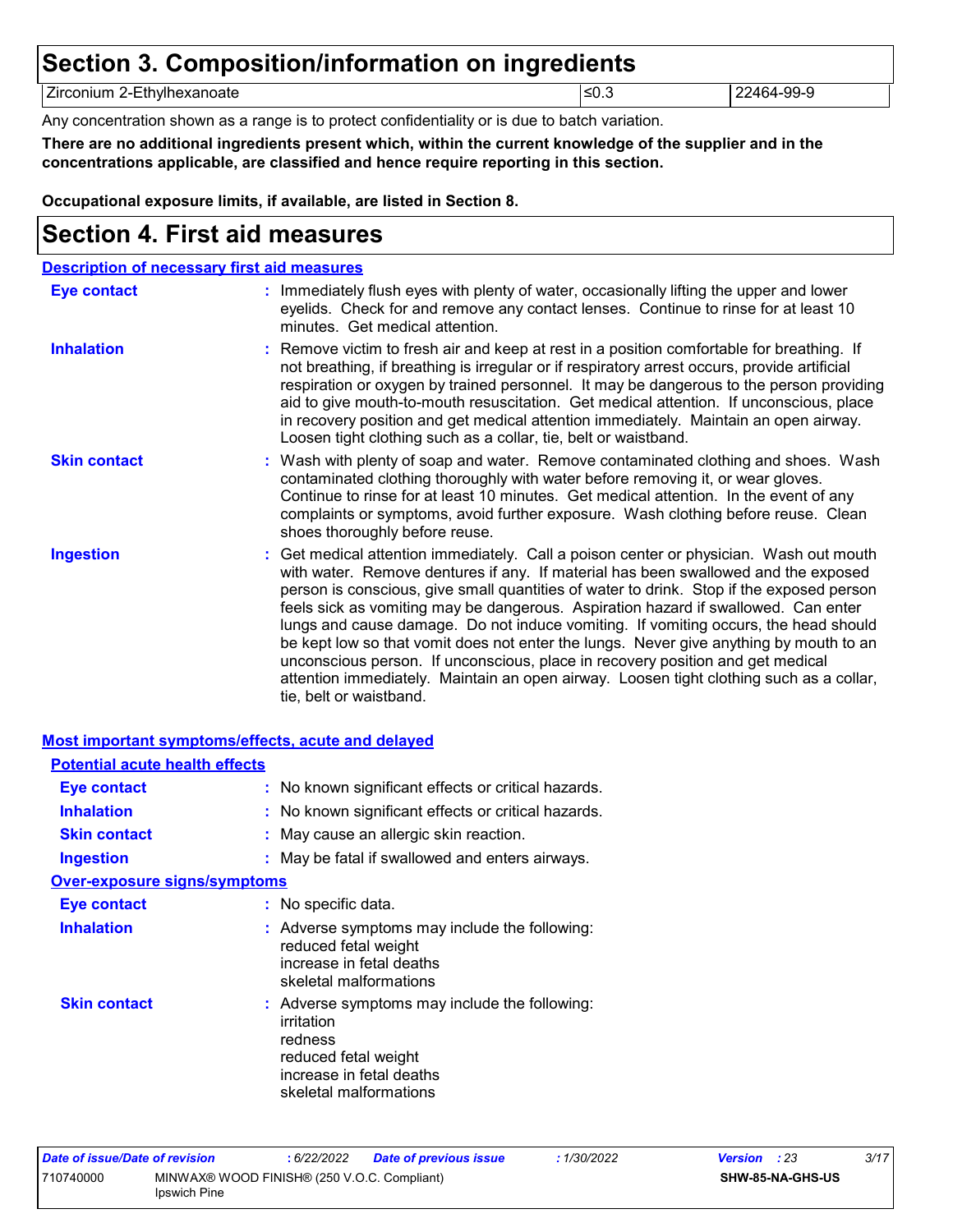### **Section 3. Composition/information on ingredients**

Zirconium 2-Ethylhexanoate 22464-99-9 22464-99-9

Any concentration shown as a range is to protect confidentiality or is due to batch variation.

**There are no additional ingredients present which, within the current knowledge of the supplier and in the concentrations applicable, are classified and hence require reporting in this section.**

**Occupational exposure limits, if available, are listed in Section 8.**

### **Section 4. First aid measures**

| <b>Description of necessary first aid measures</b> |                                                                                                                                                                                                                                                                                                                                                                                                                                                                                                                                                                                                                                                                                                                                                         |
|----------------------------------------------------|---------------------------------------------------------------------------------------------------------------------------------------------------------------------------------------------------------------------------------------------------------------------------------------------------------------------------------------------------------------------------------------------------------------------------------------------------------------------------------------------------------------------------------------------------------------------------------------------------------------------------------------------------------------------------------------------------------------------------------------------------------|
| Eye contact                                        | : Immediately flush eyes with plenty of water, occasionally lifting the upper and lower<br>eyelids. Check for and remove any contact lenses. Continue to rinse for at least 10<br>minutes. Get medical attention.                                                                                                                                                                                                                                                                                                                                                                                                                                                                                                                                       |
| <b>Inhalation</b>                                  | : Remove victim to fresh air and keep at rest in a position comfortable for breathing. If<br>not breathing, if breathing is irregular or if respiratory arrest occurs, provide artificial<br>respiration or oxygen by trained personnel. It may be dangerous to the person providing<br>aid to give mouth-to-mouth resuscitation. Get medical attention. If unconscious, place<br>in recovery position and get medical attention immediately. Maintain an open airway.<br>Loosen tight clothing such as a collar, tie, belt or waistband.                                                                                                                                                                                                               |
| <b>Skin contact</b>                                | : Wash with plenty of soap and water. Remove contaminated clothing and shoes. Wash<br>contaminated clothing thoroughly with water before removing it, or wear gloves.<br>Continue to rinse for at least 10 minutes. Get medical attention. In the event of any<br>complaints or symptoms, avoid further exposure. Wash clothing before reuse. Clean<br>shoes thoroughly before reuse.                                                                                                                                                                                                                                                                                                                                                                   |
| <b>Ingestion</b>                                   | : Get medical attention immediately. Call a poison center or physician. Wash out mouth<br>with water. Remove dentures if any. If material has been swallowed and the exposed<br>person is conscious, give small quantities of water to drink. Stop if the exposed person<br>feels sick as vomiting may be dangerous. Aspiration hazard if swallowed. Can enter<br>lungs and cause damage. Do not induce vomiting. If vomiting occurs, the head should<br>be kept low so that vomit does not enter the lungs. Never give anything by mouth to an<br>unconscious person. If unconscious, place in recovery position and get medical<br>attention immediately. Maintain an open airway. Loosen tight clothing such as a collar,<br>tie, belt or waistband. |

#### **Most important symptoms/effects, acute and delayed**

| <b>Potential acute health effects</b> |                                                                                                                                                      |
|---------------------------------------|------------------------------------------------------------------------------------------------------------------------------------------------------|
| Eye contact                           | : No known significant effects or critical hazards.                                                                                                  |
| <b>Inhalation</b>                     | : No known significant effects or critical hazards.                                                                                                  |
| <b>Skin contact</b>                   | : May cause an allergic skin reaction.                                                                                                               |
| <b>Ingestion</b>                      | : May be fatal if swallowed and enters airways.                                                                                                      |
| <u>Over-exposure signs/symptoms</u>   |                                                                                                                                                      |
| <b>Eye contact</b>                    | : No specific data.                                                                                                                                  |
| <b>Inhalation</b>                     | : Adverse symptoms may include the following:<br>reduced fetal weight<br>increase in fetal deaths<br>skeletal malformations                          |
| <b>Skin contact</b>                   | : Adverse symptoms may include the following:<br>irritation<br>redness<br>reduced fetal weight<br>increase in fetal deaths<br>skeletal malformations |

| Date of issue/Date of revision |                                                             | : 6/22/2022 | <b>Date of previous issue</b> | : 1/30/2022 | <b>Version</b> : 23 |                         | 3/17 |
|--------------------------------|-------------------------------------------------------------|-------------|-------------------------------|-------------|---------------------|-------------------------|------|
| 710740000                      | MINWAX® WOOD FINISH® (250 V.O.C. Compliant)<br>Ipswich Pine |             |                               |             |                     | <b>SHW-85-NA-GHS-US</b> |      |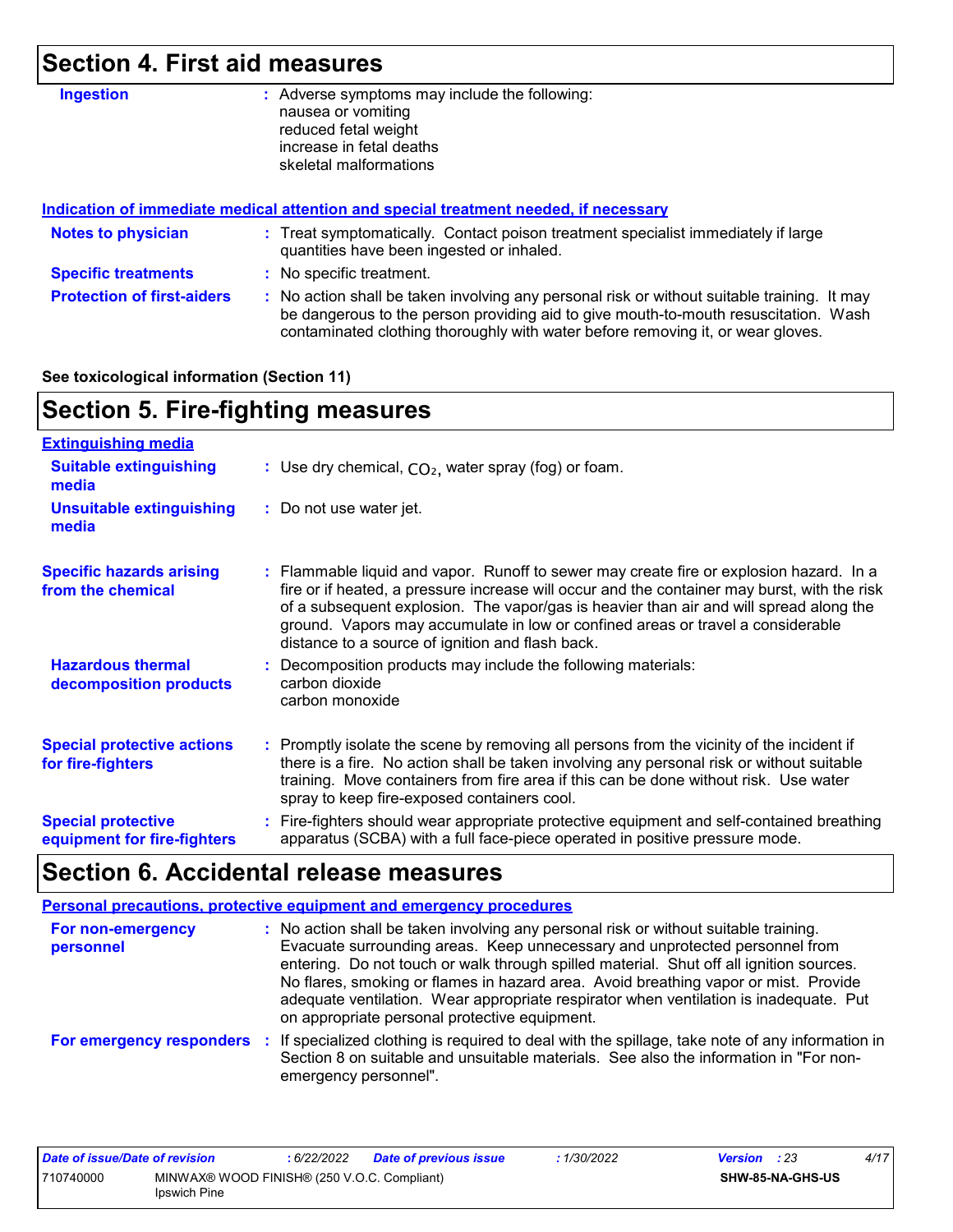### **Section 4. First aid measures**

| <b>Ingestion</b>                  | Adverse symptoms may include the following:<br>÷.<br>nausea or vomiting<br>reduced fetal weight<br>increase in fetal deaths<br>skeletal malformations                                                                                                                 |
|-----------------------------------|-----------------------------------------------------------------------------------------------------------------------------------------------------------------------------------------------------------------------------------------------------------------------|
|                                   | Indication of immediate medical attention and special treatment needed, if necessary                                                                                                                                                                                  |
| <b>Notes to physician</b>         | : Treat symptomatically. Contact poison treatment specialist immediately if large<br>quantities have been ingested or inhaled.                                                                                                                                        |
| <b>Specific treatments</b>        | : No specific treatment.                                                                                                                                                                                                                                              |
| <b>Protection of first-aiders</b> | : No action shall be taken involving any personal risk or without suitable training. It may<br>be dangerous to the person providing aid to give mouth-to-mouth resuscitation. Wash<br>contaminated clothing thoroughly with water before removing it, or wear gloves. |

#### **See toxicological information (Section 11)**

### **Section 5. Fire-fighting measures**

| <b>Extinguishing media</b>                               |                                                                                                                                                                                                                                                                                                                                                                                                                          |
|----------------------------------------------------------|--------------------------------------------------------------------------------------------------------------------------------------------------------------------------------------------------------------------------------------------------------------------------------------------------------------------------------------------------------------------------------------------------------------------------|
| <b>Suitable extinguishing</b><br>media                   | : Use dry chemical, $CO2$ , water spray (fog) or foam.                                                                                                                                                                                                                                                                                                                                                                   |
| <b>Unsuitable extinguishing</b><br>media                 | : Do not use water jet.                                                                                                                                                                                                                                                                                                                                                                                                  |
| <b>Specific hazards arising</b><br>from the chemical     | : Flammable liquid and vapor. Runoff to sewer may create fire or explosion hazard. In a<br>fire or if heated, a pressure increase will occur and the container may burst, with the risk<br>of a subsequent explosion. The vapor/gas is heavier than air and will spread along the<br>ground. Vapors may accumulate in low or confined areas or travel a considerable<br>distance to a source of ignition and flash back. |
| <b>Hazardous thermal</b><br>decomposition products       | : Decomposition products may include the following materials:<br>carbon dioxide<br>carbon monoxide                                                                                                                                                                                                                                                                                                                       |
| <b>Special protective actions</b><br>for fire-fighters   | : Promptly isolate the scene by removing all persons from the vicinity of the incident if<br>there is a fire. No action shall be taken involving any personal risk or without suitable<br>training. Move containers from fire area if this can be done without risk. Use water<br>spray to keep fire-exposed containers cool.                                                                                            |
| <b>Special protective</b><br>equipment for fire-fighters | : Fire-fighters should wear appropriate protective equipment and self-contained breathing<br>apparatus (SCBA) with a full face-piece operated in positive pressure mode.                                                                                                                                                                                                                                                 |

### **Section 6. Accidental release measures**

|                                | <b>Personal precautions, protective equipment and emergency procedures</b>                                                                                                                                                                                                                                                                                                                                                                                                                      |
|--------------------------------|-------------------------------------------------------------------------------------------------------------------------------------------------------------------------------------------------------------------------------------------------------------------------------------------------------------------------------------------------------------------------------------------------------------------------------------------------------------------------------------------------|
| For non-emergency<br>personnel | : No action shall be taken involving any personal risk or without suitable training.<br>Evacuate surrounding areas. Keep unnecessary and unprotected personnel from<br>entering. Do not touch or walk through spilled material. Shut off all ignition sources.<br>No flares, smoking or flames in hazard area. Avoid breathing vapor or mist. Provide<br>adequate ventilation. Wear appropriate respirator when ventilation is inadequate. Put<br>on appropriate personal protective equipment. |
|                                | For emergency responders : If specialized clothing is required to deal with the spillage, take note of any information in<br>Section 8 on suitable and unsuitable materials. See also the information in "For non-<br>emergency personnel".                                                                                                                                                                                                                                                     |

| Date of issue/Date of revision |                                                                    | : 6/22/2022 | <b>Date of previous issue</b> | : 1/30/2022 | <b>Version</b> : 23     | 4/17 |
|--------------------------------|--------------------------------------------------------------------|-------------|-------------------------------|-------------|-------------------------|------|
| 710740000                      | MINWAX® WOOD FINISH® (250 V.O.C. Compliant)<br><b>Ipswich Pine</b> |             |                               |             | <b>SHW-85-NA-GHS-US</b> |      |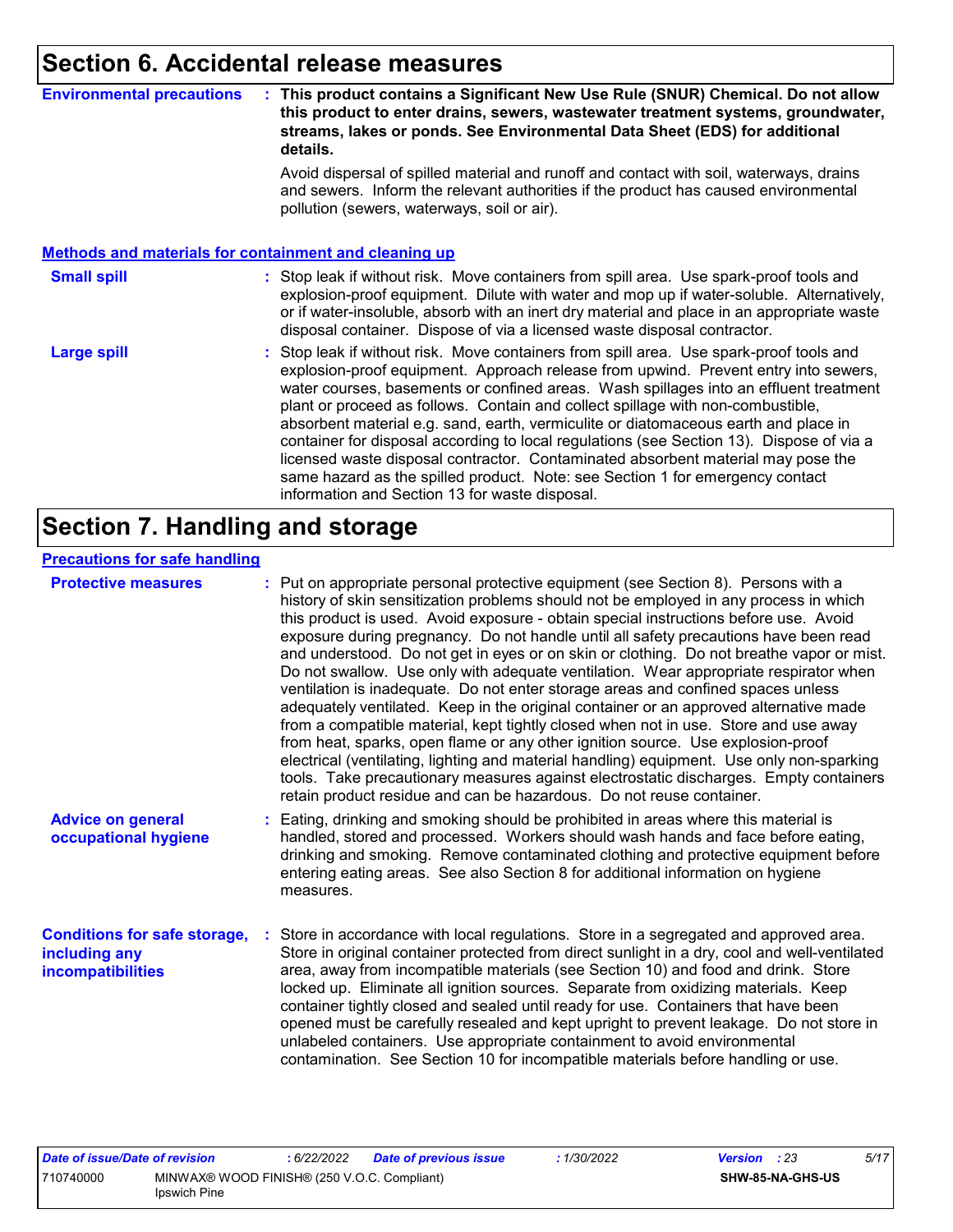### **Section 6. Accidental release measures**

#### **Environmental precautions : This product contains a Significant New Use Rule (SNUR) Chemical. Do not allow this product to enter drains, sewers, wastewater treatment systems, groundwater, streams, lakes or ponds. See Environmental Data Sheet (EDS) for additional details.**

Avoid dispersal of spilled material and runoff and contact with soil, waterways, drains and sewers. Inform the relevant authorities if the product has caused environmental pollution (sewers, waterways, soil or air).

#### **Methods and materials for containment and cleaning up**

#### : Stop leak if without risk. Move containers from spill area. Use spark-proof tools and explosion-proof equipment. Dilute with water and mop up if water-soluble. Alternatively, or if water-insoluble, absorb with an inert dry material and place in an appropriate waste disposal container. Dispose of via a licensed waste disposal contractor. **Small spill :**

Stop leak if without risk. Move containers from spill area. Use spark-proof tools and explosion-proof equipment. Approach release from upwind. Prevent entry into sewers, water courses, basements or confined areas. Wash spillages into an effluent treatment plant or proceed as follows. Contain and collect spillage with non-combustible, absorbent material e.g. sand, earth, vermiculite or diatomaceous earth and place in container for disposal according to local regulations (see Section 13). Dispose of via a licensed waste disposal contractor. Contaminated absorbent material may pose the same hazard as the spilled product. Note: see Section 1 for emergency contact information and Section 13 for waste disposal. **Large spill :**

### **Section 7. Handling and storage**

#### **Precautions for safe handling**

| <b>Protective measures</b>                                                | : Put on appropriate personal protective equipment (see Section 8). Persons with a<br>history of skin sensitization problems should not be employed in any process in which<br>this product is used. Avoid exposure - obtain special instructions before use. Avoid<br>exposure during pregnancy. Do not handle until all safety precautions have been read<br>and understood. Do not get in eyes or on skin or clothing. Do not breathe vapor or mist.<br>Do not swallow. Use only with adequate ventilation. Wear appropriate respirator when<br>ventilation is inadequate. Do not enter storage areas and confined spaces unless<br>adequately ventilated. Keep in the original container or an approved alternative made<br>from a compatible material, kept tightly closed when not in use. Store and use away<br>from heat, sparks, open flame or any other ignition source. Use explosion-proof<br>electrical (ventilating, lighting and material handling) equipment. Use only non-sparking<br>tools. Take precautionary measures against electrostatic discharges. Empty containers<br>retain product residue and can be hazardous. Do not reuse container. |
|---------------------------------------------------------------------------|----------------------------------------------------------------------------------------------------------------------------------------------------------------------------------------------------------------------------------------------------------------------------------------------------------------------------------------------------------------------------------------------------------------------------------------------------------------------------------------------------------------------------------------------------------------------------------------------------------------------------------------------------------------------------------------------------------------------------------------------------------------------------------------------------------------------------------------------------------------------------------------------------------------------------------------------------------------------------------------------------------------------------------------------------------------------------------------------------------------------------------------------------------------------|
| <b>Advice on general</b><br>occupational hygiene                          | : Eating, drinking and smoking should be prohibited in areas where this material is<br>handled, stored and processed. Workers should wash hands and face before eating,<br>drinking and smoking. Remove contaminated clothing and protective equipment before<br>entering eating areas. See also Section 8 for additional information on hygiene<br>measures.                                                                                                                                                                                                                                                                                                                                                                                                                                                                                                                                                                                                                                                                                                                                                                                                        |
| <b>Conditions for safe storage,</b><br>including any<br>incompatibilities | Store in accordance with local regulations. Store in a segregated and approved area.<br>Store in original container protected from direct sunlight in a dry, cool and well-ventilated<br>area, away from incompatible materials (see Section 10) and food and drink. Store<br>locked up. Eliminate all ignition sources. Separate from oxidizing materials. Keep<br>container tightly closed and sealed until ready for use. Containers that have been<br>opened must be carefully resealed and kept upright to prevent leakage. Do not store in<br>unlabeled containers. Use appropriate containment to avoid environmental<br>contamination. See Section 10 for incompatible materials before handling or use.                                                                                                                                                                                                                                                                                                                                                                                                                                                     |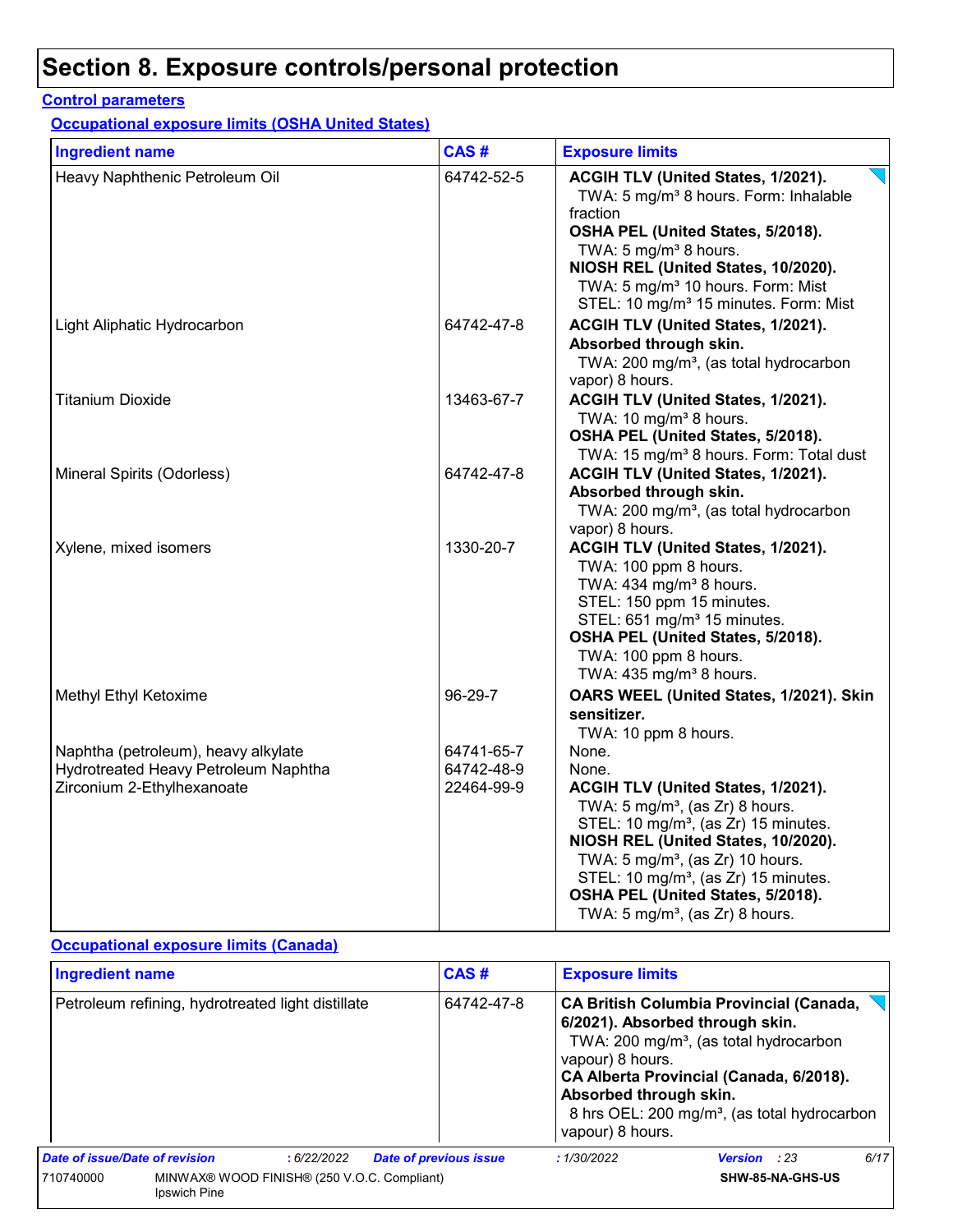#### **Control parameters**

**Occupational exposure limits (OSHA United States)**

| <b>Ingredient name</b>               | CAS#       | <b>Exposure limits</b>                                                                                                                                                                                                                                                                                                                                            |
|--------------------------------------|------------|-------------------------------------------------------------------------------------------------------------------------------------------------------------------------------------------------------------------------------------------------------------------------------------------------------------------------------------------------------------------|
| Heavy Naphthenic Petroleum Oil       | 64742-52-5 | ACGIH TLV (United States, 1/2021).<br>TWA: 5 mg/m <sup>3</sup> 8 hours. Form: Inhalable<br>fraction<br>OSHA PEL (United States, 5/2018).<br>TWA: 5 mg/m <sup>3</sup> 8 hours.<br>NIOSH REL (United States, 10/2020).<br>TWA: 5 mg/m <sup>3</sup> 10 hours. Form: Mist<br>STEL: 10 mg/m <sup>3</sup> 15 minutes. Form: Mist                                        |
| Light Aliphatic Hydrocarbon          | 64742-47-8 | ACGIH TLV (United States, 1/2021).<br>Absorbed through skin.<br>TWA: 200 mg/m <sup>3</sup> , (as total hydrocarbon<br>vapor) 8 hours.                                                                                                                                                                                                                             |
| <b>Titanium Dioxide</b>              | 13463-67-7 | ACGIH TLV (United States, 1/2021).<br>TWA: 10 mg/m <sup>3</sup> 8 hours.<br>OSHA PEL (United States, 5/2018).<br>TWA: 15 mg/m <sup>3</sup> 8 hours. Form: Total dust                                                                                                                                                                                              |
| Mineral Spirits (Odorless)           | 64742-47-8 | ACGIH TLV (United States, 1/2021).<br>Absorbed through skin.<br>TWA: 200 mg/m <sup>3</sup> , (as total hydrocarbon<br>vapor) 8 hours.                                                                                                                                                                                                                             |
| Xylene, mixed isomers                | 1330-20-7  | ACGIH TLV (United States, 1/2021).<br>TWA: 100 ppm 8 hours.<br>TWA: 434 mg/m <sup>3</sup> 8 hours.<br>STEL: 150 ppm 15 minutes.<br>STEL: 651 mg/m <sup>3</sup> 15 minutes.<br>OSHA PEL (United States, 5/2018).<br>TWA: 100 ppm 8 hours.<br>TWA: 435 mg/m <sup>3</sup> 8 hours.                                                                                   |
| Methyl Ethyl Ketoxime                | 96-29-7    | OARS WEEL (United States, 1/2021). Skin<br>sensitizer.<br>TWA: 10 ppm 8 hours.                                                                                                                                                                                                                                                                                    |
| Naphtha (petroleum), heavy alkylate  | 64741-65-7 | None.                                                                                                                                                                                                                                                                                                                                                             |
| Hydrotreated Heavy Petroleum Naphtha | 64742-48-9 | None.                                                                                                                                                                                                                                                                                                                                                             |
| Zirconium 2-Ethylhexanoate           | 22464-99-9 | ACGIH TLV (United States, 1/2021).<br>TWA: $5 \text{ mg/m}^3$ , (as Zr) 8 hours.<br>STEL: 10 mg/m <sup>3</sup> , (as Zr) 15 minutes.<br>NIOSH REL (United States, 10/2020).<br>TWA: $5 \text{ mg/m}^3$ , (as Zr) 10 hours.<br>STEL: 10 mg/m <sup>3</sup> , (as Zr) 15 minutes.<br>OSHA PEL (United States, 5/2018).<br>TWA: $5 \text{ mg/m}^3$ , (as Zr) 8 hours. |

#### **Occupational exposure limits (Canada)**

| <b>Ingredient name</b>                                                   |  |            | CAS#<br><b>Exposure limits</b> |                                                                |                                                                                                                                                                                                                                                |                     |      |
|--------------------------------------------------------------------------|--|------------|--------------------------------|----------------------------------------------------------------|------------------------------------------------------------------------------------------------------------------------------------------------------------------------------------------------------------------------------------------------|---------------------|------|
| Petroleum refining, hydrotreated light distillate                        |  |            | 64742-47-8                     | vapour) 8 hours.<br>Absorbed through skin.<br>vapour) 8 hours. | <b>CA British Columbia Provincial (Canada,</b><br>6/2021). Absorbed through skin.<br>TWA: 200 mg/m <sup>3</sup> , (as total hydrocarbon<br>CA Alberta Provincial (Canada, 6/2018).<br>8 hrs OEL: 200 mg/m <sup>3</sup> , (as total hydrocarbon |                     |      |
| Date of issue/Date of revision                                           |  | :6/22/2022 | <b>Date of previous issue</b>  |                                                                | :1/30/2022                                                                                                                                                                                                                                     | <b>Version</b> : 23 | 6/17 |
| MINWAX® WOOD FINISH® (250 V.O.C. Compliant)<br>710740000<br>Ipswich Pine |  |            |                                |                                                                | SHW-85-NA-GHS-US                                                                                                                                                                                                                               |                     |      |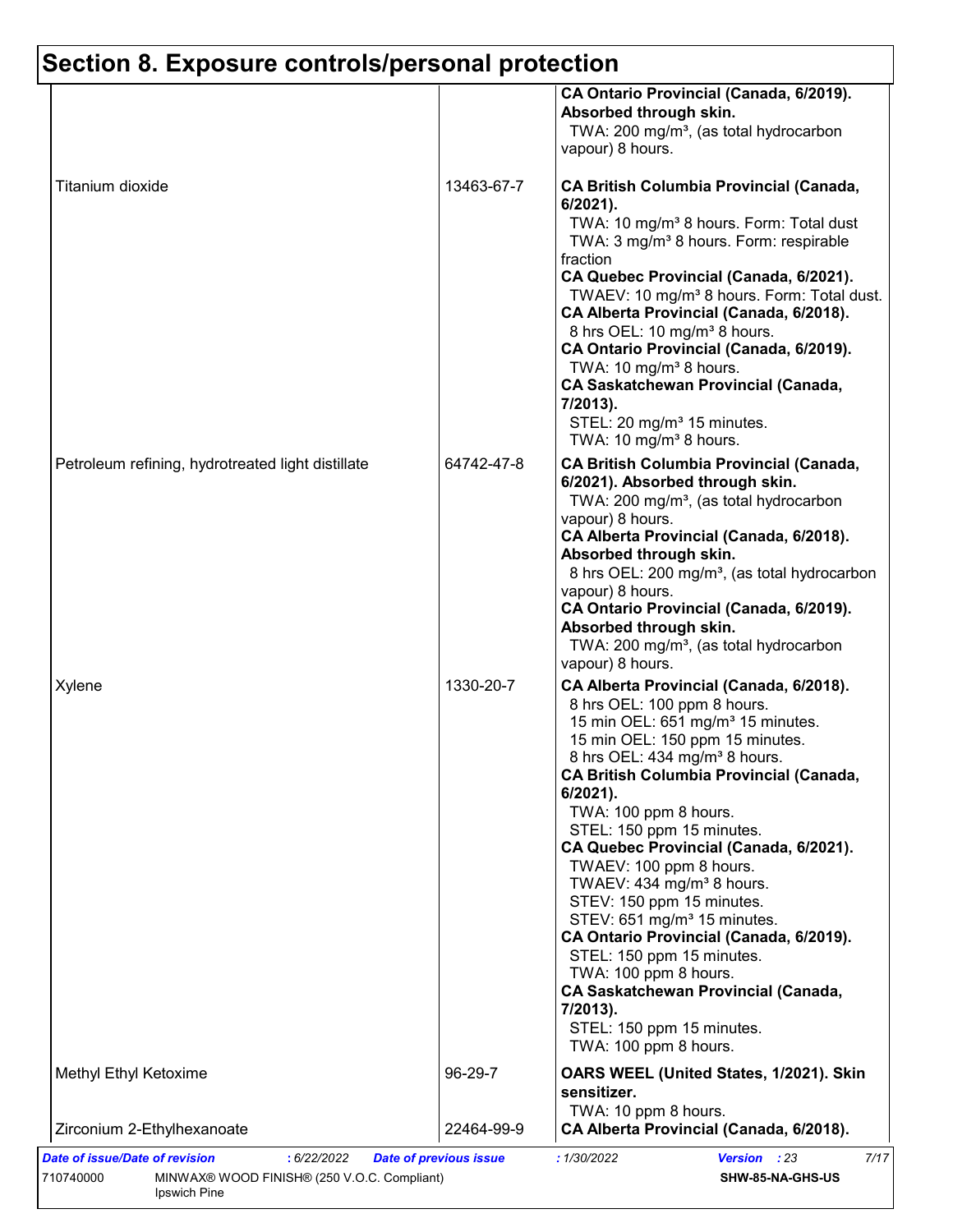| Titanium dioxide                                    | 13463-67-7            | CA Ontario Provincial (Canada, 6/2019).<br>Absorbed through skin.<br>TWA: 200 mg/m <sup>3</sup> , (as total hydrocarbon<br>vapour) 8 hours.                                                                                                                                                                                                                                                                                                                                                                                                                                                                                                                                                                                           |
|-----------------------------------------------------|-----------------------|---------------------------------------------------------------------------------------------------------------------------------------------------------------------------------------------------------------------------------------------------------------------------------------------------------------------------------------------------------------------------------------------------------------------------------------------------------------------------------------------------------------------------------------------------------------------------------------------------------------------------------------------------------------------------------------------------------------------------------------|
|                                                     |                       |                                                                                                                                                                                                                                                                                                                                                                                                                                                                                                                                                                                                                                                                                                                                       |
|                                                     |                       | <b>CA British Columbia Provincial (Canada,</b><br>$6/2021$ ).<br>TWA: 10 mg/m <sup>3</sup> 8 hours. Form: Total dust<br>TWA: 3 mg/m <sup>3</sup> 8 hours. Form: respirable<br>fraction<br>CA Quebec Provincial (Canada, 6/2021).<br>TWAEV: 10 mg/m <sup>3</sup> 8 hours. Form: Total dust.<br>CA Alberta Provincial (Canada, 6/2018).<br>8 hrs OEL: 10 mg/m <sup>3</sup> 8 hours.<br>CA Ontario Provincial (Canada, 6/2019).<br>TWA: 10 mg/m <sup>3</sup> 8 hours.<br><b>CA Saskatchewan Provincial (Canada,</b><br>7/2013).<br>STEL: 20 mg/m <sup>3</sup> 15 minutes.<br>TWA: 10 mg/m <sup>3</sup> 8 hours.                                                                                                                          |
| Petroleum refining, hydrotreated light distillate   | 64742-47-8            | <b>CA British Columbia Provincial (Canada,</b><br>6/2021). Absorbed through skin.<br>TWA: 200 mg/m <sup>3</sup> , (as total hydrocarbon<br>vapour) 8 hours.<br>CA Alberta Provincial (Canada, 6/2018).<br>Absorbed through skin.<br>8 hrs OEL: 200 mg/m <sup>3</sup> , (as total hydrocarbon<br>vapour) 8 hours.<br>CA Ontario Provincial (Canada, 6/2019).<br>Absorbed through skin.<br>TWA: 200 mg/m <sup>3</sup> , (as total hydrocarbon<br>vapour) 8 hours.                                                                                                                                                                                                                                                                       |
| Xylene                                              | 1330-20-7             | CA Alberta Provincial (Canada, 6/2018).<br>8 hrs OEL: 100 ppm 8 hours.<br>15 min OEL: 651 mg/m <sup>3</sup> 15 minutes.<br>15 min OEL: 150 ppm 15 minutes.<br>8 hrs OEL: 434 mg/m <sup>3</sup> 8 hours.<br><b>CA British Columbia Provincial (Canada,</b><br>$6/2021$ ).<br>TWA: 100 ppm 8 hours.<br>STEL: 150 ppm 15 minutes.<br>CA Quebec Provincial (Canada, 6/2021).<br>TWAEV: 100 ppm 8 hours.<br>TWAEV: 434 mg/m <sup>3</sup> 8 hours.<br>STEV: 150 ppm 15 minutes.<br>STEV: 651 mg/m <sup>3</sup> 15 minutes.<br>CA Ontario Provincial (Canada, 6/2019).<br>STEL: 150 ppm 15 minutes.<br>TWA: 100 ppm 8 hours.<br><b>CA Saskatchewan Provincial (Canada,</b><br>7/2013).<br>STEL: 150 ppm 15 minutes.<br>TWA: 100 ppm 8 hours. |
| Methyl Ethyl Ketoxime<br>Zirconium 2-Ethylhexanoate | 96-29-7<br>22464-99-9 | OARS WEEL (United States, 1/2021). Skin<br>sensitizer.<br>TWA: 10 ppm 8 hours.<br>CA Alberta Provincial (Canada, 6/2018).                                                                                                                                                                                                                                                                                                                                                                                                                                                                                                                                                                                                             |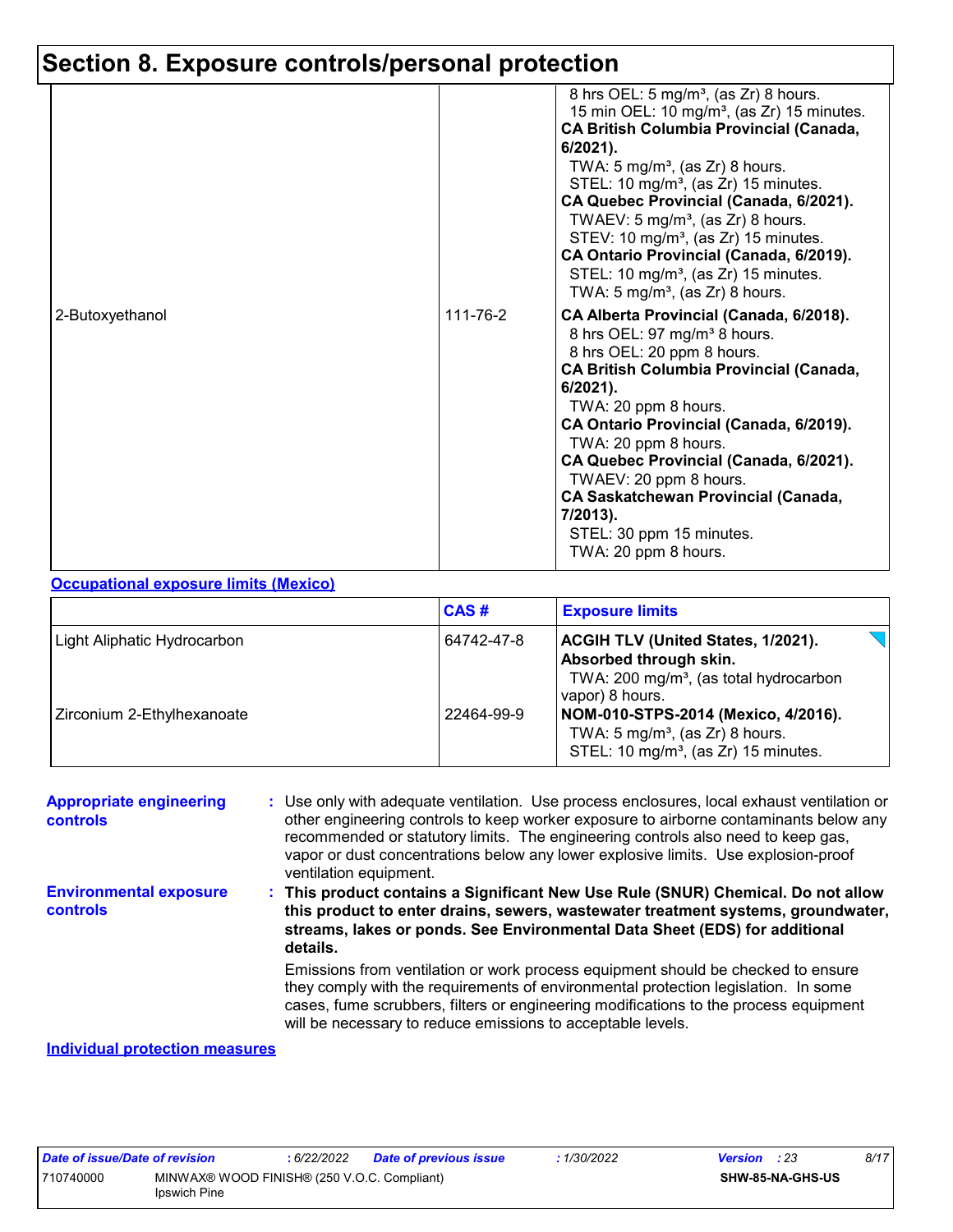| 2-Butoxyethanol | 111-76-2 | 8 hrs OEL: 5 mg/m <sup>3</sup> , (as Zr) 8 hours.<br>15 min OEL: 10 mg/m <sup>3</sup> , (as Zr) 15 minutes.<br><b>CA British Columbia Provincial (Canada,</b><br>$6/2021$ ).<br>TWA: $5 \text{ mg/m}^3$ , (as Zr) 8 hours.<br>STEL: 10 mg/m <sup>3</sup> , (as Zr) 15 minutes.<br>CA Quebec Provincial (Canada, 6/2021).<br>TWAEV: $5 \text{ mg/m}^3$ , (as Zr) 8 hours.<br>STEV: 10 mg/m <sup>3</sup> , (as Zr) 15 minutes.<br>CA Ontario Provincial (Canada, 6/2019).<br>STEL: 10 mg/m <sup>3</sup> , (as Zr) 15 minutes.<br>TWA: 5 mg/m <sup>3</sup> , (as Zr) 8 hours.<br>CA Alberta Provincial (Canada, 6/2018). |
|-----------------|----------|-----------------------------------------------------------------------------------------------------------------------------------------------------------------------------------------------------------------------------------------------------------------------------------------------------------------------------------------------------------------------------------------------------------------------------------------------------------------------------------------------------------------------------------------------------------------------------------------------------------------------|
|                 |          | 8 hrs OEL: 97 mg/m <sup>3</sup> 8 hours.<br>8 hrs OEL: 20 ppm 8 hours.<br><b>CA British Columbia Provincial (Canada,</b><br>$6/2021$ ).<br>TWA: 20 ppm 8 hours.<br>CA Ontario Provincial (Canada, 6/2019).<br>TWA: 20 ppm 8 hours.<br>CA Quebec Provincial (Canada, 6/2021).<br>TWAEV: 20 ppm 8 hours.<br><b>CA Saskatchewan Provincial (Canada,</b><br>7/2013).<br>STEL: 30 ppm 15 minutes.<br>TWA: 20 ppm 8 hours.                                                                                                                                                                                                  |

#### **Occupational exposure limits (Mexico)**

|                             | CAS#       | <b>Exposure limits</b>                                                                                                                       |
|-----------------------------|------------|----------------------------------------------------------------------------------------------------------------------------------------------|
| Light Aliphatic Hydrocarbon | 64742-47-8 | <b>ACGIH TLV (United States, 1/2021).</b><br>Absorbed through skin.<br>TWA: 200 mg/m <sup>3</sup> , (as total hydrocarbon<br>vapor) 8 hours. |
| Zirconium 2-Ethylhexanoate  | 22464-99-9 | NOM-010-STPS-2014 (Mexico, 4/2016).<br>TWA: $5 \text{ mg/m}^3$ , (as Zr) 8 hours.<br>STEL: 10 mg/m <sup>3</sup> , (as Zr) 15 minutes.        |

| <b>Appropriate engineering</b><br>controls       | : Use only with adequate ventilation. Use process enclosures, local exhaust ventilation or<br>other engineering controls to keep worker exposure to airborne contaminants below any<br>recommended or statutory limits. The engineering controls also need to keep gas,<br>vapor or dust concentrations below any lower explosive limits. Use explosion-proof<br>ventilation equipment. |
|--------------------------------------------------|-----------------------------------------------------------------------------------------------------------------------------------------------------------------------------------------------------------------------------------------------------------------------------------------------------------------------------------------------------------------------------------------|
| <b>Environmental exposure</b><br><b>controls</b> | This product contains a Significant New Use Rule (SNUR) Chemical. Do not allow<br>this product to enter drains, sewers, wastewater treatment systems, groundwater,<br>streams, lakes or ponds. See Environmental Data Sheet (EDS) for additional<br>details.                                                                                                                            |
|                                                  | Emissions from ventilation or work process equipment should be checked to ensure<br>they comply with the requirements of environmental protection legislation. In some<br>cases, fume scrubbers, filters or engineering modifications to the process equipment<br>will be necessary to reduce emissions to acceptable levels.                                                           |
| Individual protection measures                   |                                                                                                                                                                                                                                                                                                                                                                                         |

#### **Individual protection measures**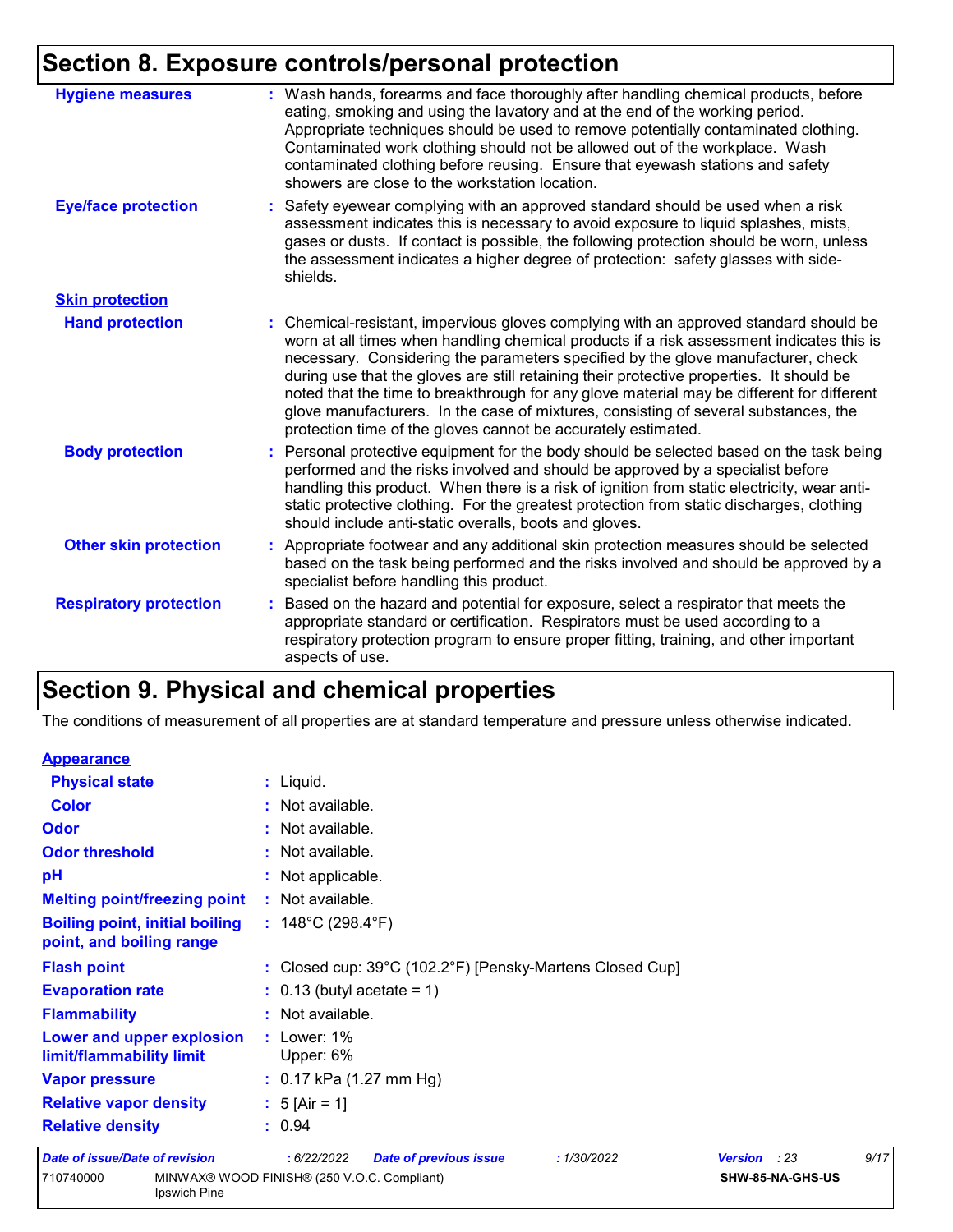| <b>Hygiene measures</b>       | : Wash hands, forearms and face thoroughly after handling chemical products, before<br>eating, smoking and using the lavatory and at the end of the working period.<br>Appropriate techniques should be used to remove potentially contaminated clothing.<br>Contaminated work clothing should not be allowed out of the workplace. Wash<br>contaminated clothing before reusing. Ensure that eyewash stations and safety<br>showers are close to the workstation location.                                                                                                                                            |
|-------------------------------|------------------------------------------------------------------------------------------------------------------------------------------------------------------------------------------------------------------------------------------------------------------------------------------------------------------------------------------------------------------------------------------------------------------------------------------------------------------------------------------------------------------------------------------------------------------------------------------------------------------------|
| <b>Eye/face protection</b>    | : Safety eyewear complying with an approved standard should be used when a risk<br>assessment indicates this is necessary to avoid exposure to liquid splashes, mists,<br>gases or dusts. If contact is possible, the following protection should be worn, unless<br>the assessment indicates a higher degree of protection: safety glasses with side-<br>shields.                                                                                                                                                                                                                                                     |
| <b>Skin protection</b>        |                                                                                                                                                                                                                                                                                                                                                                                                                                                                                                                                                                                                                        |
| <b>Hand protection</b>        | : Chemical-resistant, impervious gloves complying with an approved standard should be<br>worn at all times when handling chemical products if a risk assessment indicates this is<br>necessary. Considering the parameters specified by the glove manufacturer, check<br>during use that the gloves are still retaining their protective properties. It should be<br>noted that the time to breakthrough for any glove material may be different for different<br>glove manufacturers. In the case of mixtures, consisting of several substances, the<br>protection time of the gloves cannot be accurately estimated. |
| <b>Body protection</b>        | : Personal protective equipment for the body should be selected based on the task being<br>performed and the risks involved and should be approved by a specialist before<br>handling this product. When there is a risk of ignition from static electricity, wear anti-<br>static protective clothing. For the greatest protection from static discharges, clothing<br>should include anti-static overalls, boots and gloves.                                                                                                                                                                                         |
| <b>Other skin protection</b>  | : Appropriate footwear and any additional skin protection measures should be selected<br>based on the task being performed and the risks involved and should be approved by a<br>specialist before handling this product.                                                                                                                                                                                                                                                                                                                                                                                              |
| <b>Respiratory protection</b> | : Based on the hazard and potential for exposure, select a respirator that meets the<br>appropriate standard or certification. Respirators must be used according to a<br>respiratory protection program to ensure proper fitting, training, and other important<br>aspects of use.                                                                                                                                                                                                                                                                                                                                    |

### **Section 9. Physical and chemical properties**

The conditions of measurement of all properties are at standard temperature and pressure unless otherwise indicated.

| <b>Appearance</b>                                                                                           |                                                            |                        |      |  |
|-------------------------------------------------------------------------------------------------------------|------------------------------------------------------------|------------------------|------|--|
| <b>Physical state</b>                                                                                       | : Liquid.                                                  |                        |      |  |
| <b>Color</b>                                                                                                | : Not available.                                           |                        |      |  |
| <b>Odor</b>                                                                                                 | : Not available.                                           |                        |      |  |
| <b>Odor threshold</b>                                                                                       | : Not available.                                           |                        |      |  |
| pH                                                                                                          | : Not applicable.                                          |                        |      |  |
| <b>Melting point/freezing point</b>                                                                         | : Not available.                                           |                        |      |  |
| : $148^{\circ}$ C (298.4 $^{\circ}$ F)<br><b>Boiling point, initial boiling</b><br>point, and boiling range |                                                            |                        |      |  |
| <b>Flash point</b><br>: Closed cup: 39°C (102.2°F) [Pensky-Martens Closed Cup]                              |                                                            |                        |      |  |
| <b>Evaporation rate</b>                                                                                     | $\therefore$ 0.13 (butyl acetate = 1)                      |                        |      |  |
| <b>Flammability</b>                                                                                         | : Not available.                                           |                        |      |  |
| Lower and upper explosion<br>limit/flammability limit                                                       | $:$ Lower: 1%<br>Upper: 6%                                 |                        |      |  |
| <b>Vapor pressure</b>                                                                                       | $: 0.17$ kPa (1.27 mm Hg)                                  |                        |      |  |
| <b>Relative vapor density</b>                                                                               | : $5$ [Air = 1]                                            |                        |      |  |
| <b>Relative density</b>                                                                                     | : 0.94                                                     |                        |      |  |
| <b>Date of issue/Date of revision</b>                                                                       | :6/22/2022<br><b>Date of previous issue</b><br>: 1/30/2022 | <b>Version</b><br>: 23 | 9/17 |  |
| 710740000<br><b>Ipswich Pine</b>                                                                            | MINWAX® WOOD FINISH® (250 V.O.C. Compliant)                | SHW-85-NA-GHS-US       |      |  |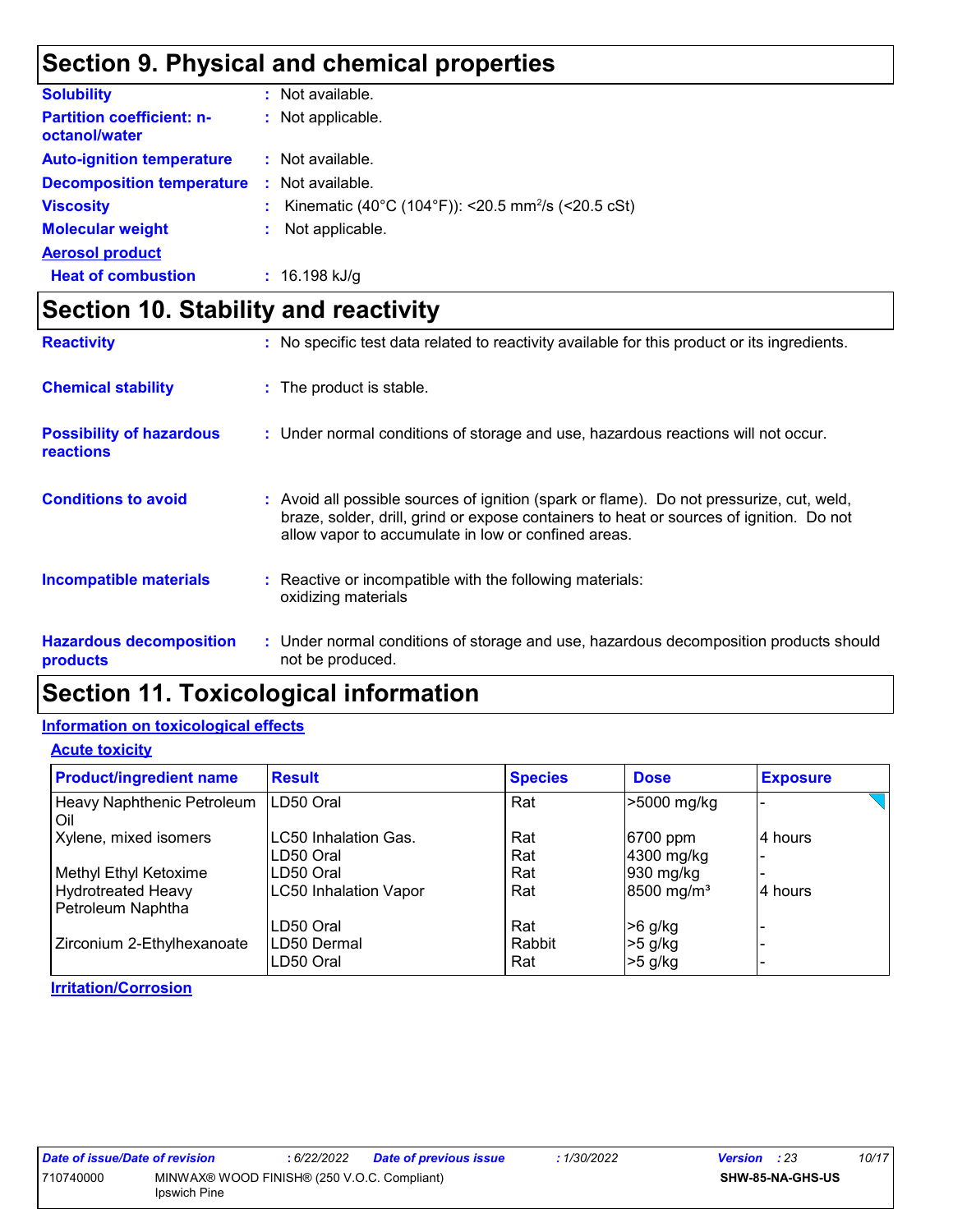### **Section 9. Physical and chemical properties**

| <b>Solubility</b>                                 | : Not available.                                               |
|---------------------------------------------------|----------------------------------------------------------------|
| <b>Partition coefficient: n-</b><br>octanol/water | : Not applicable.                                              |
| <b>Auto-ignition temperature</b>                  | : Not available.                                               |
| <b>Decomposition temperature</b>                  | : Not available.                                               |
| <b>Viscosity</b>                                  | Kinematic (40°C (104°F)): <20.5 mm <sup>2</sup> /s (<20.5 cSt) |
| <b>Molecular weight</b>                           | Not applicable.<br>÷                                           |
| <b>Aerosol product</b>                            |                                                                |
| <b>Heat of combustion</b>                         | $: 16.198$ kJ/g                                                |

### **Section 10. Stability and reactivity**

| <b>Reactivity</b>                                   | : No specific test data related to reactivity available for this product or its ingredients.                                                                                                                                               |
|-----------------------------------------------------|--------------------------------------------------------------------------------------------------------------------------------------------------------------------------------------------------------------------------------------------|
| <b>Chemical stability</b>                           | : The product is stable.                                                                                                                                                                                                                   |
| <b>Possibility of hazardous</b><br><b>reactions</b> | : Under normal conditions of storage and use, hazardous reactions will not occur.                                                                                                                                                          |
| <b>Conditions to avoid</b>                          | : Avoid all possible sources of ignition (spark or flame). Do not pressurize, cut, weld,<br>braze, solder, drill, grind or expose containers to heat or sources of ignition. Do not<br>allow vapor to accumulate in low or confined areas. |
| <b>Incompatible materials</b>                       | : Reactive or incompatible with the following materials:<br>oxidizing materials                                                                                                                                                            |
| <b>Hazardous decomposition</b><br><b>products</b>   | : Under normal conditions of storage and use, hazardous decomposition products should<br>not be produced.                                                                                                                                  |

### **Section 11. Toxicological information**

#### **Information on toxicological effects**

**Acute toxicity**

| <b>Product/ingredient name</b>                 | <b>Result</b>                | <b>Species</b> | <b>Dose</b>            | <b>Exposure</b> |
|------------------------------------------------|------------------------------|----------------|------------------------|-----------------|
| Heavy Naphthenic Petroleum<br>Oil              | LD50 Oral                    | Rat            | >5000 mg/kg            |                 |
| Xylene, mixed isomers                          | <b>LC50 Inhalation Gas.</b>  | Rat            | 6700 ppm               | 4 hours         |
|                                                | LD50 Oral                    | Rat            | 4300 mg/kg             |                 |
| Methyl Ethyl Ketoxime                          | LD50 Oral                    | Rat            | 930 mg/kg              |                 |
| <b>Hydrotreated Heavy</b><br>Petroleum Naphtha | <b>LC50 Inhalation Vapor</b> | Rat            | 8500 mg/m <sup>3</sup> | 4 hours         |
|                                                | LD50 Oral                    | Rat            | >6 g/kg                |                 |
| Zirconium 2-Ethylhexanoate                     | LD50 Dermal<br>LD50 Oral     | Rabbit<br>Rat  | >5 g/kg<br>$>5$ g/kg   |                 |

#### **Irritation/Corrosion**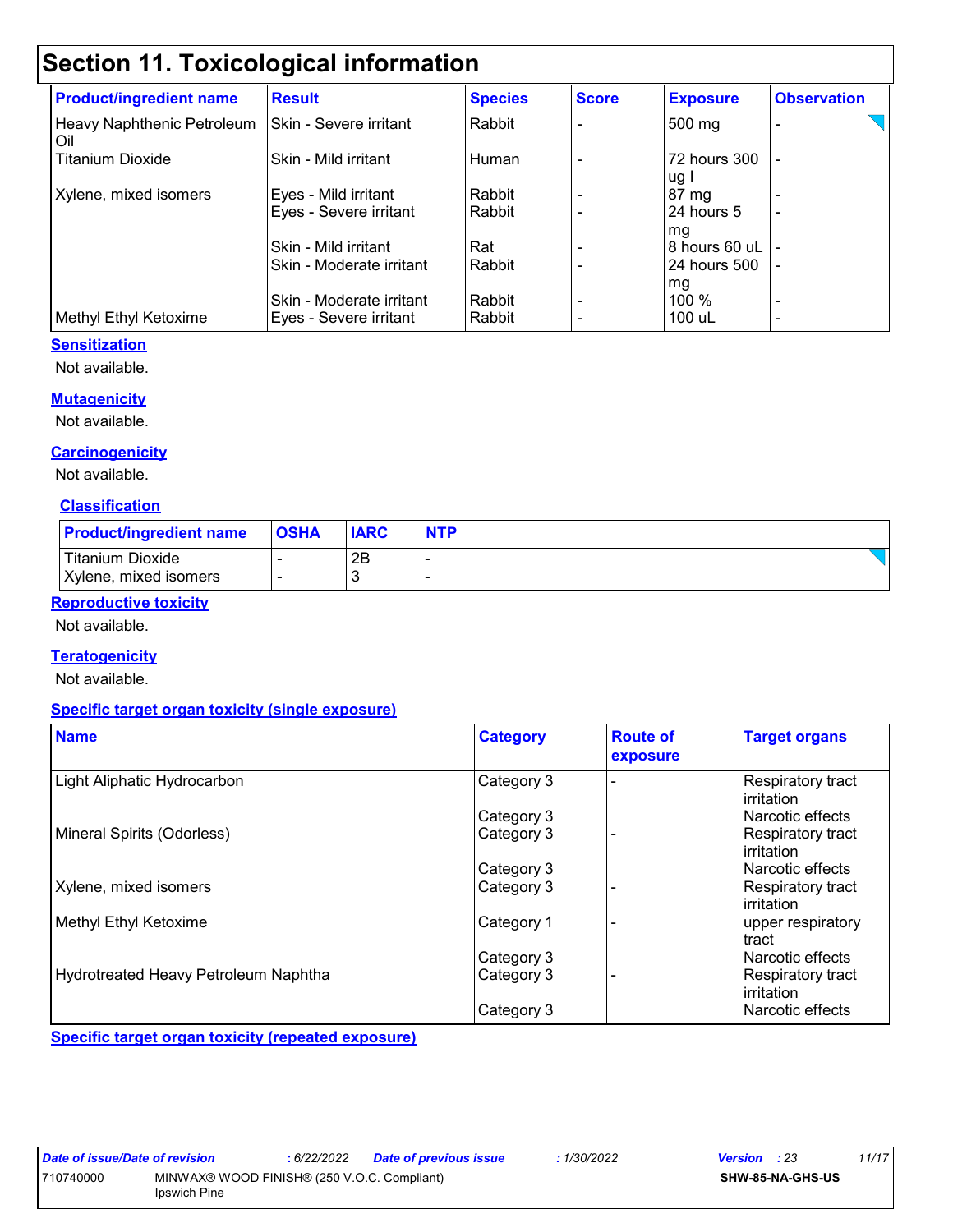### **Section 11. Toxicological information**

| <b>Product/ingredient name</b>    | <b>Result</b>            | <b>Species</b> | <b>Score</b> | <b>Exposure</b>      | <b>Observation</b> |
|-----------------------------------|--------------------------|----------------|--------------|----------------------|--------------------|
| Heavy Naphthenic Petroleum<br>Oil | Skin - Severe irritant   | Rabbit         |              | 500 mg               |                    |
| <b>Titanium Dioxide</b>           | Skin - Mild irritant     | Human          |              | 72 hours 300<br>ug I | $\blacksquare$     |
| Xylene, mixed isomers             | Eyes - Mild irritant     | Rabbit         |              | 87 mg                |                    |
|                                   | Eyes - Severe irritant   | Rabbit         |              | 24 hours 5<br>mg     |                    |
|                                   | Skin - Mild irritant     | Rat            |              | 8 hours 60 uL        |                    |
|                                   | Skin - Moderate irritant | Rabbit         |              | 24 hours 500         |                    |
|                                   |                          |                |              | mg                   |                    |
|                                   | Skin - Moderate irritant | Rabbit         |              | $100\%$              | ۰                  |
| Methyl Ethyl Ketoxime             | Eyes - Severe irritant   | Rabbit         |              | 100 uL               |                    |

#### **Sensitization**

Not available.

#### **Mutagenicity**

Not available.

#### **Carcinogenicity**

Not available.

#### **Classification**

| <b>Product/ingredient name</b> | <b>OSHA</b> | <b>IARC</b> | <b>NTP</b> |
|--------------------------------|-------------|-------------|------------|
| <b>Titanium Dioxide</b>        |             | 2B          |            |
| Xylene, mixed isomers          |             |             |            |

#### **Reproductive toxicity**

Not available.

#### **Teratogenicity**

Not available.

#### **Specific target organ toxicity (single exposure)**

| <b>Name</b>                          | <b>Category</b> | <b>Route of</b><br>exposure | <b>Target organs</b>            |
|--------------------------------------|-----------------|-----------------------------|---------------------------------|
| Light Aliphatic Hydrocarbon          | Category 3      |                             | Respiratory tract<br>irritation |
|                                      | Category 3      |                             | Narcotic effects                |
| Mineral Spirits (Odorless)           | Category 3      |                             | Respiratory tract<br>irritation |
|                                      | Category 3      |                             | l Narcotic effects              |
| Xylene, mixed isomers                | Category 3      |                             | Respiratory tract<br>irritation |
| Methyl Ethyl Ketoxime                | Category 1      |                             | upper respiratory<br>tract      |
|                                      | Category 3      |                             | Narcotic effects                |
| Hydrotreated Heavy Petroleum Naphtha | Category 3      |                             | Respiratory tract<br>irritation |
|                                      | Category 3      |                             | l Narcotic effects              |

**Specific target organ toxicity (repeated exposure)**

| Date of issue/Date of revision |                                             | : 6/22/2022 | Date of previous issue | 1/30/2022 | <b>Version</b> : 23 | 11/17 |
|--------------------------------|---------------------------------------------|-------------|------------------------|-----------|---------------------|-------|
| 710740000                      | MINWAX® WOOD FINISH® (250 V.O.C. Compliant) |             |                        |           | SHW-85-NA-GHS-US    |       |
|                                | <b>Ipswich Pine</b>                         |             |                        |           |                     |       |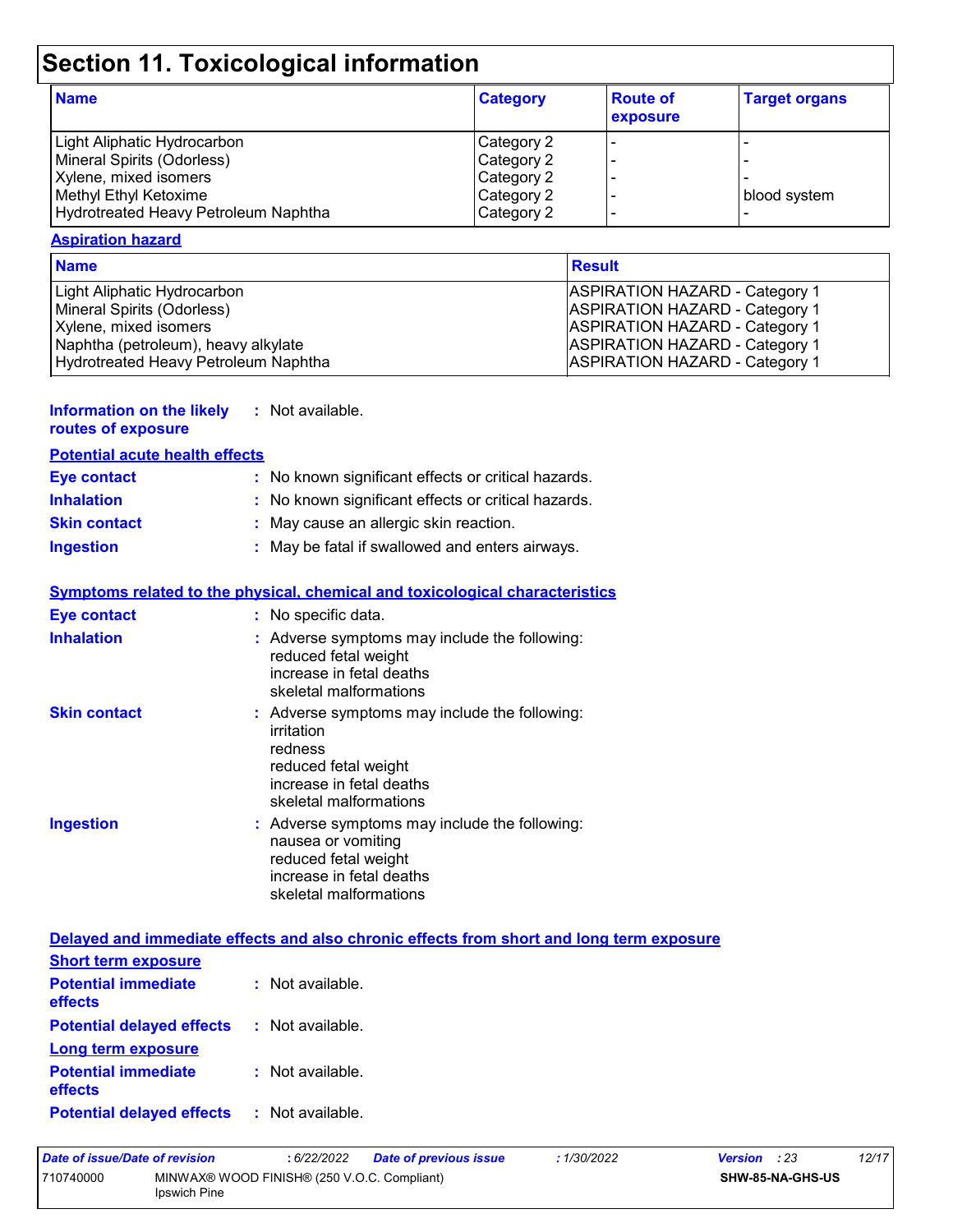# **Section 11. Toxicological information**

| <b>Name</b>                          | <b>Category</b> | <b>Route of</b><br>exposure | <b>Target organs</b> |
|--------------------------------------|-----------------|-----------------------------|----------------------|
| Light Aliphatic Hydrocarbon          | Category 2      |                             |                      |
| Mineral Spirits (Odorless)           | Category 2      |                             |                      |
| Xylene, mixed isomers                | Category 2      |                             |                      |
| Methyl Ethyl Ketoxime                | Category 2      |                             | blood system         |
| Hydrotreated Heavy Petroleum Naphtha | Category 2      |                             |                      |

#### **Aspiration hazard**

| <b>Name</b>                          | <b>Result</b>                         |
|--------------------------------------|---------------------------------------|
| Light Aliphatic Hydrocarbon          | <b>ASPIRATION HAZARD - Category 1</b> |
| Mineral Spirits (Odorless)           | <b>ASPIRATION HAZARD - Category 1</b> |
| Xylene, mixed isomers                | <b>ASPIRATION HAZARD - Category 1</b> |
| Naphtha (petroleum), heavy alkylate  | <b>ASPIRATION HAZARD - Category 1</b> |
| Hydrotreated Heavy Petroleum Naphtha | <b>ASPIRATION HAZARD - Category 1</b> |

| Information on the likely | : Not available. |
|---------------------------|------------------|
| routes of exposure        |                  |

| <b>Potential acute health effects</b> |  |  |
|---------------------------------------|--|--|

| <b>Eye contact</b>  | : No known significant effects or critical hazards. |
|---------------------|-----------------------------------------------------|
| <b>Inhalation</b>   | : No known significant effects or critical hazards. |
| <b>Skin contact</b> | : May cause an allergic skin reaction.              |
| <b>Ingestion</b>    | : May be fatal if swallowed and enters airways.     |

|                     | <b>Symptoms related to the physical, chemical and toxicological characteristics</b>                                                                  |
|---------------------|------------------------------------------------------------------------------------------------------------------------------------------------------|
| <b>Eye contact</b>  | : No specific data.                                                                                                                                  |
| <b>Inhalation</b>   | : Adverse symptoms may include the following:<br>reduced fetal weight<br>increase in fetal deaths<br>skeletal malformations                          |
| <b>Skin contact</b> | : Adverse symptoms may include the following:<br>irritation<br>redness<br>reduced fetal weight<br>increase in fetal deaths<br>skeletal malformations |
| <b>Ingestion</b>    | : Adverse symptoms may include the following:<br>nausea or vomiting<br>reduced fetal weight<br>increase in fetal deaths<br>skeletal malformations    |

|                                                               | Delayed and immediate effects and also chronic effects from short and long term exposure |
|---------------------------------------------------------------|------------------------------------------------------------------------------------------|
| <b>Short term exposure</b>                                    |                                                                                          |
| <b>Potential immediate : Not available.</b><br><b>effects</b> |                                                                                          |
| <b>Potential delayed effects : Not available.</b>             |                                                                                          |
| Long term exposure                                            |                                                                                          |
| <b>Potential immediate : Not available.</b><br><b>effects</b> |                                                                                          |
|                                                               |                                                                                          |

| <b>Potential delayed effects</b> |  | Not available. |
|----------------------------------|--|----------------|
|----------------------------------|--|----------------|

| Date of issue/Date of revision |                                                                    | 6/22/2022 | <b>Date of previous issue</b> | : 1/30/2022 | <b>Version</b> : 23 |                         | 12/17 |
|--------------------------------|--------------------------------------------------------------------|-----------|-------------------------------|-------------|---------------------|-------------------------|-------|
| 710740000                      | MINWAX® WOOD FINISH® (250 V.O.C. Compliant)<br><b>Ipswich Pine</b> |           |                               |             |                     | <b>SHW-85-NA-GHS-US</b> |       |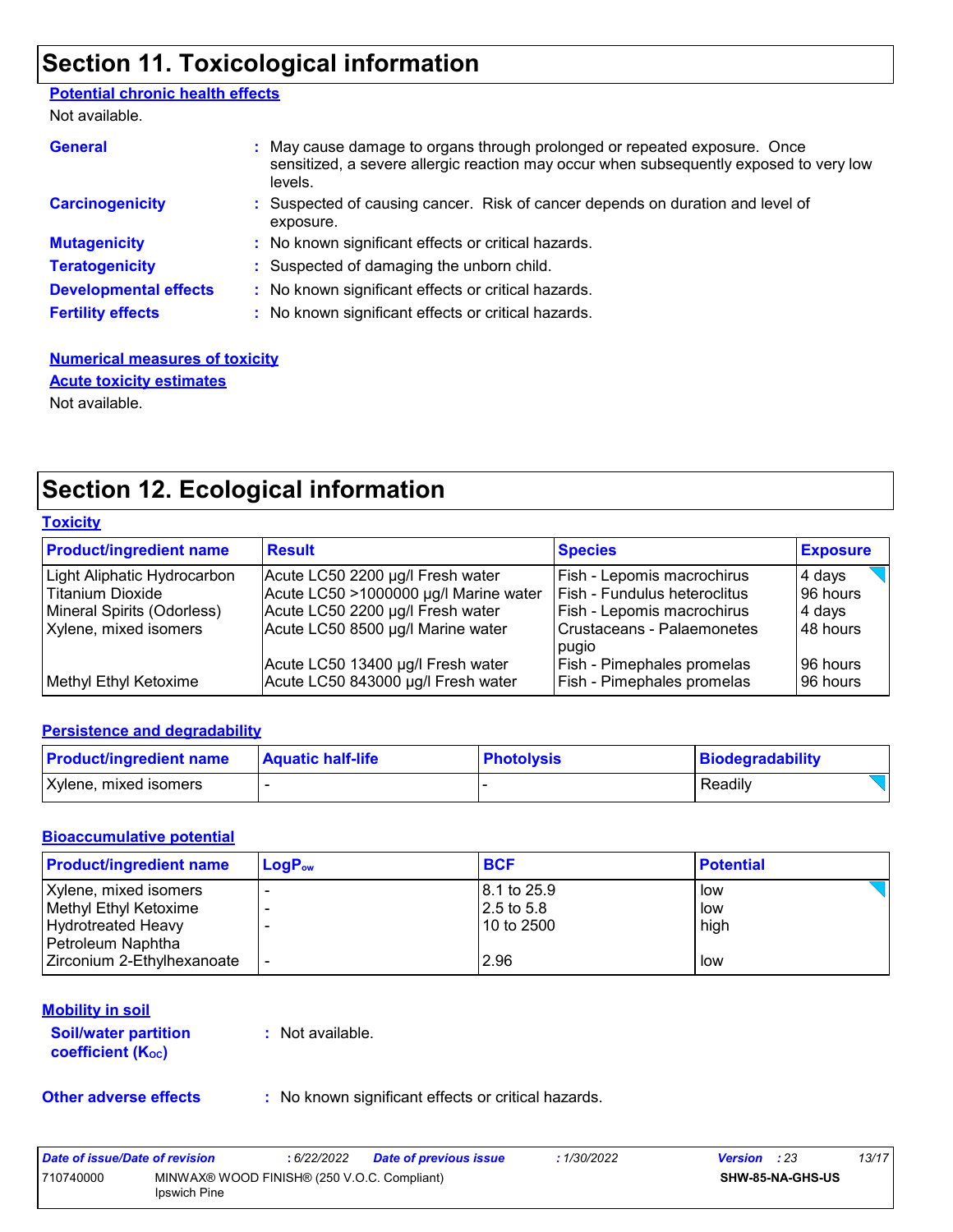### **Section 11. Toxicological information**

#### **Potential chronic health effects**

Not available.

| <b>General</b>               | : May cause damage to organs through prolonged or repeated exposure. Once<br>sensitized, a severe allergic reaction may occur when subsequently exposed to very low<br>levels. |
|------------------------------|--------------------------------------------------------------------------------------------------------------------------------------------------------------------------------|
| <b>Carcinogenicity</b>       | : Suspected of causing cancer. Risk of cancer depends on duration and level of<br>exposure.                                                                                    |
| <b>Mutagenicity</b>          | : No known significant effects or critical hazards.                                                                                                                            |
| <b>Teratogenicity</b>        | : Suspected of damaging the unborn child.                                                                                                                                      |
| <b>Developmental effects</b> | : No known significant effects or critical hazards.                                                                                                                            |
| <b>Fertility effects</b>     | : No known significant effects or critical hazards.                                                                                                                            |

#### **Numerical measures of toxicity** Not available. **Acute toxicity estimates**

### **Section 12. Ecological information**

|--|

| <b>Product/ingredient name</b> | <b>Result</b>                         | <b>Species</b>                      | <b>Exposure</b> |
|--------------------------------|---------------------------------------|-------------------------------------|-----------------|
| Light Aliphatic Hydrocarbon    | Acute LC50 2200 µg/l Fresh water      | Fish - Lepomis macrochirus          | 4 days          |
| Titanium Dioxide               | Acute LC50 >1000000 µg/l Marine water | <b>Fish - Fundulus heteroclitus</b> | 96 hours        |
| Mineral Spirits (Odorless)     | Acute LC50 2200 µg/l Fresh water      | Fish - Lepomis macrochirus          | 4 days          |
| Xylene, mixed isomers          | Acute LC50 8500 µg/l Marine water     | Crustaceans - Palaemonetes          | 48 hours        |
|                                |                                       | pugio                               |                 |
|                                | Acute LC50 13400 µg/l Fresh water     | <b>Fish - Pimephales promelas</b>   | 96 hours        |
| Methyl Ethyl Ketoxime          | Acute LC50 843000 µg/l Fresh water    | <b>Fish - Pimephales promelas</b>   | 96 hours        |

#### **Persistence and degradability**

| <b>Product/ingredient name</b> | <b>Aquatic half-life</b> | <b>Photolysis</b> | Biodegradability |
|--------------------------------|--------------------------|-------------------|------------------|
| Xylene, mixed isomers          |                          |                   | Readily          |

#### **Bioaccumulative potential**

| <b>Product/ingredient name</b> | $LogP_{ow}$ | <b>BCF</b>  | <b>Potential</b> |
|--------------------------------|-------------|-------------|------------------|
| Xylene, mixed isomers          |             | 8.1 to 25.9 | low              |
| Methyl Ethyl Ketoxime          |             | 2.5 to 5.8  | low              |
| Hydrotreated Heavy             |             | 10 to 2500  | high             |
| Petroleum Naphtha              |             |             |                  |
| Zirconium 2-Ethylhexanoate     |             | 2.96        | low              |

#### **Mobility in soil**

**Soil/water partition coefficient (KOC)**

**:** Not available.

**Other adverse effects** : No known significant effects or critical hazards.

| Date of issue/Date of revision |                                                             | : 6/22/2022 | <b>Date of previous issue</b> | 1/30/2022 | <b>Version</b> : 23 |                         | 13/17 |
|--------------------------------|-------------------------------------------------------------|-------------|-------------------------------|-----------|---------------------|-------------------------|-------|
| 710740000                      | MINWAX® WOOD FINISH® (250 V.O.C. Compliant)<br>Ipswich Pine |             |                               |           |                     | <b>SHW-85-NA-GHS-US</b> |       |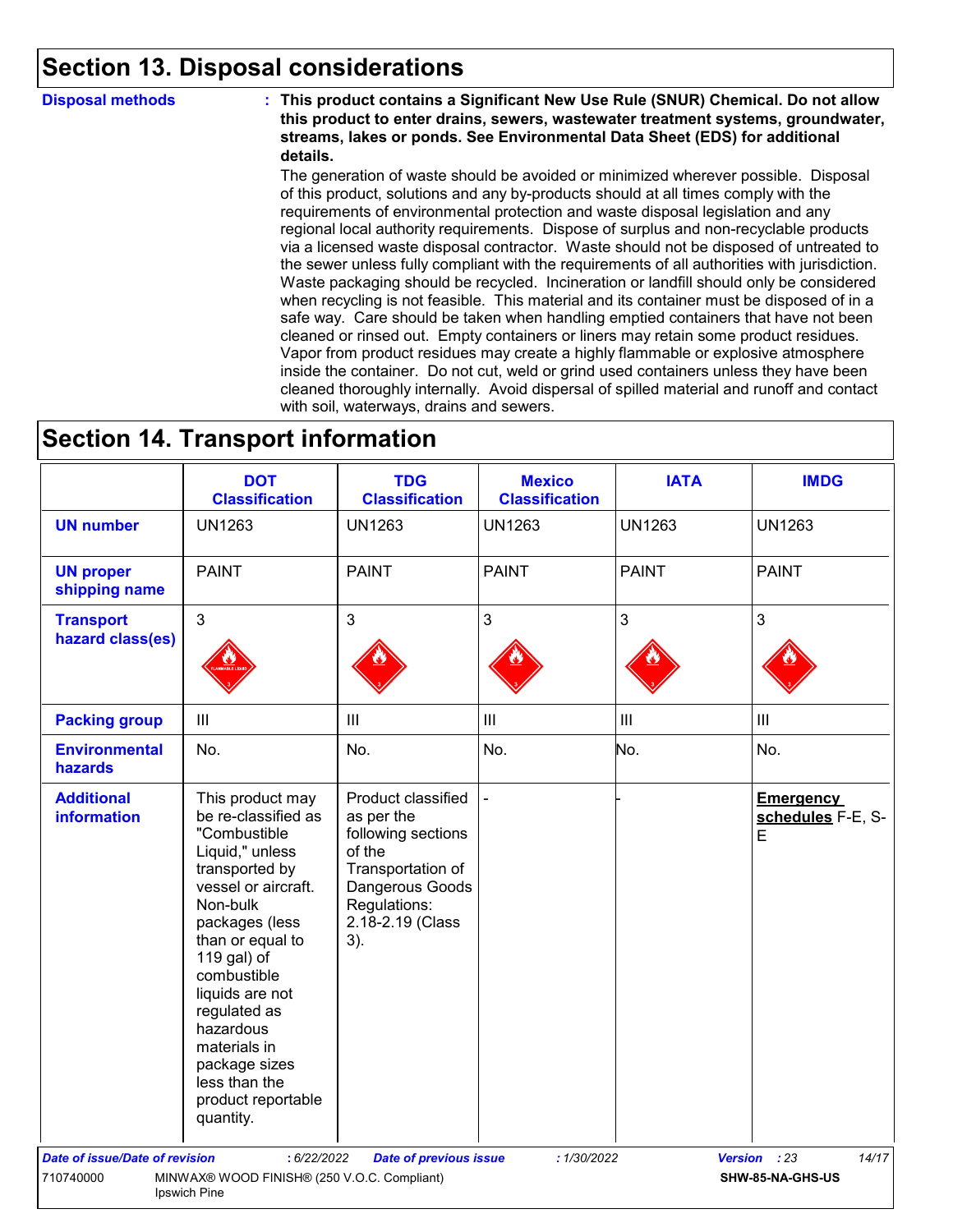### **Section 13. Disposal considerations**

**Disposal methods : This product contains a Significant New Use Rule (SNUR) Chemical. Do not allow this product to enter drains, sewers, wastewater treatment systems, groundwater, streams, lakes or ponds. See Environmental Data Sheet (EDS) for additional details.**

> The generation of waste should be avoided or minimized wherever possible. Disposal of this product, solutions and any by-products should at all times comply with the requirements of environmental protection and waste disposal legislation and any regional local authority requirements. Dispose of surplus and non-recyclable products via a licensed waste disposal contractor. Waste should not be disposed of untreated to the sewer unless fully compliant with the requirements of all authorities with jurisdiction. Waste packaging should be recycled. Incineration or landfill should only be considered when recycling is not feasible. This material and its container must be disposed of in a safe way. Care should be taken when handling emptied containers that have not been cleaned or rinsed out. Empty containers or liners may retain some product residues. Vapor from product residues may create a highly flammable or explosive atmosphere inside the container. Do not cut, weld or grind used containers unless they have been cleaned thoroughly internally. Avoid dispersal of spilled material and runoff and contact with soil, waterways, drains and sewers.

### **Section 14. Transport information**

|                                         | <b>DOT</b><br><b>Classification</b>                                                                                                                                                                                                                                                                                                      | <b>TDG</b><br><b>Classification</b>                                                                                                                 | <b>Mexico</b><br><b>Classification</b> | <b>IATA</b>    | <b>IMDG</b>                                |
|-----------------------------------------|------------------------------------------------------------------------------------------------------------------------------------------------------------------------------------------------------------------------------------------------------------------------------------------------------------------------------------------|-----------------------------------------------------------------------------------------------------------------------------------------------------|----------------------------------------|----------------|--------------------------------------------|
| <b>UN number</b>                        | <b>UN1263</b>                                                                                                                                                                                                                                                                                                                            | <b>UN1263</b>                                                                                                                                       | <b>UN1263</b>                          | <b>UN1263</b>  | <b>UN1263</b>                              |
| <b>UN proper</b><br>shipping name       | <b>PAINT</b>                                                                                                                                                                                                                                                                                                                             | <b>PAINT</b>                                                                                                                                        | <b>PAINT</b>                           | <b>PAINT</b>   | <b>PAINT</b>                               |
| <b>Transport</b><br>hazard class(es)    | $\mathbf{3}$                                                                                                                                                                                                                                                                                                                             | 3                                                                                                                                                   | $\mathfrak{S}$                         | 3              | $\mathbf{3}$                               |
| <b>Packing group</b>                    | $\mathop{\rm III}$                                                                                                                                                                                                                                                                                                                       | $\mathbf{III}$                                                                                                                                      | $\ensuremath{\mathsf{III}}\xspace$     | $\mathbf{III}$ | $\ensuremath{\mathsf{III}}\xspace$         |
| <b>Environmental</b><br>hazards         | No.                                                                                                                                                                                                                                                                                                                                      | No.                                                                                                                                                 | No.                                    | No.            | No.                                        |
| <b>Additional</b><br><b>information</b> | This product may<br>be re-classified as<br>"Combustible<br>Liquid," unless<br>transported by<br>vessel or aircraft.<br>Non-bulk<br>packages (less<br>than or equal to<br>119 gal) of<br>combustible<br>liquids are not<br>regulated as<br>hazardous<br>materials in<br>package sizes<br>less than the<br>product reportable<br>quantity. | Product classified<br>as per the<br>following sections<br>of the<br>Transportation of<br>Dangerous Goods<br>Regulations:<br>2.18-2.19 (Class<br>3). |                                        |                | <b>Emergency</b><br>schedules F-E, S-<br>E |
| Date of issue/Date of revision          | : 6/22/2022                                                                                                                                                                                                                                                                                                                              | <b>Date of previous issue</b>                                                                                                                       | :1/30/2022                             |                | 14/17<br>Version : 23                      |
| 710740000                               | MINWAX® WOOD FINISH® (250 V.O.C. Compliant)<br>Ipswich Pine                                                                                                                                                                                                                                                                              |                                                                                                                                                     |                                        |                | SHW-85-NA-GHS-US                           |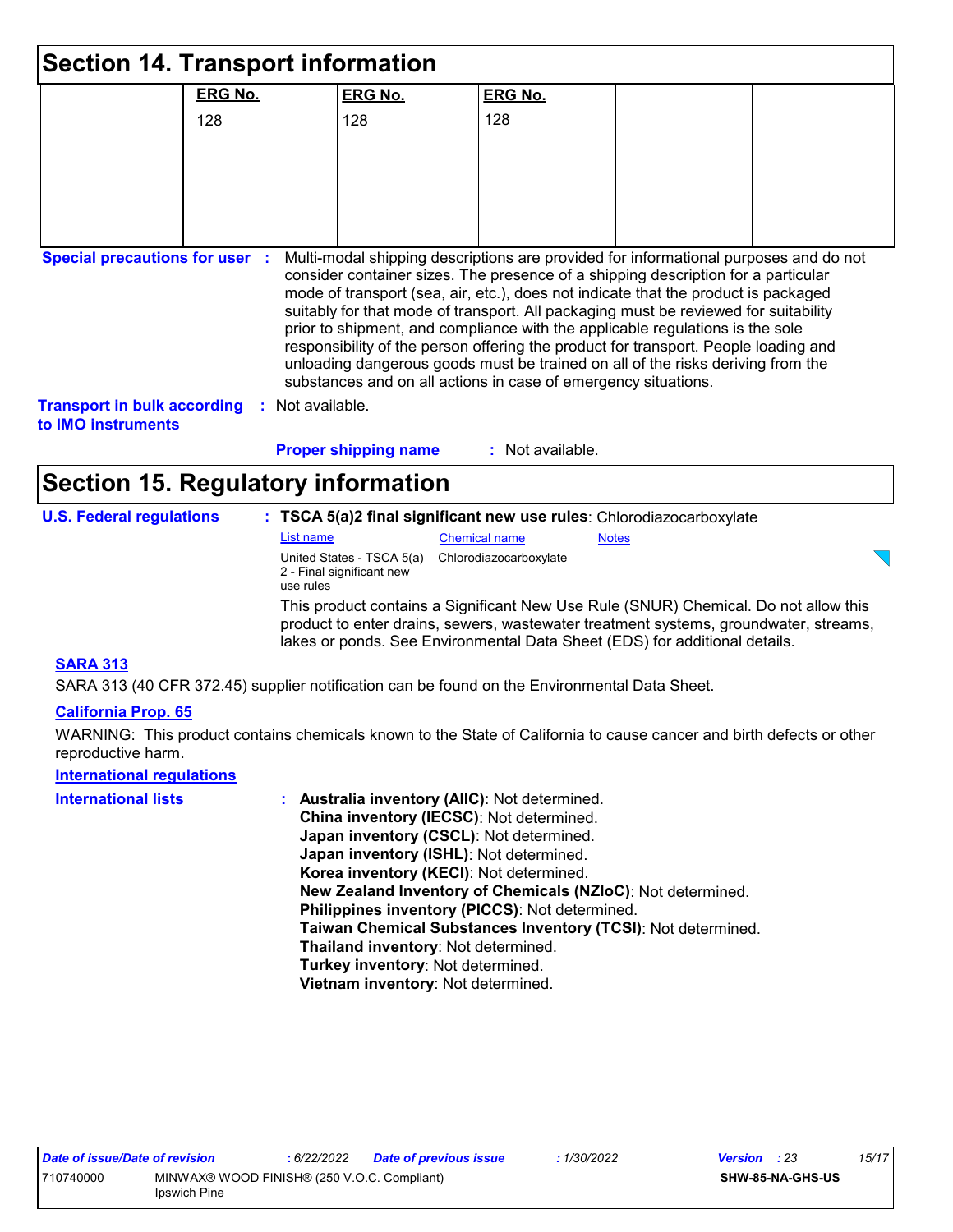|                                                          | <b>Section 14. Transport information</b>  |                             |                                                                                                                                                 |              |                                                                                                                                                                                                                                                                                                                                                     |  |
|----------------------------------------------------------|-------------------------------------------|-----------------------------|-------------------------------------------------------------------------------------------------------------------------------------------------|--------------|-----------------------------------------------------------------------------------------------------------------------------------------------------------------------------------------------------------------------------------------------------------------------------------------------------------------------------------------------------|--|
|                                                          | <b>ERG No.</b>                            | <b>ERG No.</b>              | <b>ERG No.</b>                                                                                                                                  |              |                                                                                                                                                                                                                                                                                                                                                     |  |
|                                                          | 128                                       | 128                         | 128                                                                                                                                             |              |                                                                                                                                                                                                                                                                                                                                                     |  |
|                                                          |                                           |                             |                                                                                                                                                 |              |                                                                                                                                                                                                                                                                                                                                                     |  |
|                                                          |                                           |                             |                                                                                                                                                 |              |                                                                                                                                                                                                                                                                                                                                                     |  |
|                                                          |                                           |                             |                                                                                                                                                 |              |                                                                                                                                                                                                                                                                                                                                                     |  |
|                                                          |                                           |                             |                                                                                                                                                 |              |                                                                                                                                                                                                                                                                                                                                                     |  |
| <b>Transport in bulk according</b><br>to IMO instruments | Not available.                            |                             | prior to shipment, and compliance with the applicable regulations is the sole<br>substances and on all actions in case of emergency situations. |              | mode of transport (sea, air, etc.), does not indicate that the product is packaged<br>suitably for that mode of transport. All packaging must be reviewed for suitability<br>responsibility of the person offering the product for transport. People loading and<br>unloading dangerous goods must be trained on all of the risks deriving from the |  |
|                                                          |                                           | <b>Proper shipping name</b> | : Not available.                                                                                                                                |              |                                                                                                                                                                                                                                                                                                                                                     |  |
|                                                          | <b>Section 15. Regulatory information</b> |                             |                                                                                                                                                 |              |                                                                                                                                                                                                                                                                                                                                                     |  |
| <b>U.S. Federal regulations</b>                          |                                           |                             | : TSCA 5(a)2 final significant new use rules: Chlorodiazocarboxylate                                                                            |              |                                                                                                                                                                                                                                                                                                                                                     |  |
|                                                          | List name                                 | United States - TSCA 5(a)   | <b>Chemical name</b><br>Chlorodiazocarboxylate                                                                                                  | <b>Notes</b> |                                                                                                                                                                                                                                                                                                                                                     |  |
|                                                          | use rules                                 | 2 - Final significant new   |                                                                                                                                                 |              |                                                                                                                                                                                                                                                                                                                                                     |  |
|                                                          |                                           |                             | lakes or ponds. See Environmental Data Sheet (EDS) for additional details.                                                                      |              | This product contains a Significant New Use Rule (SNUR) Chemical. Do not allow this<br>product to enter drains, sewers, wastewater treatment systems, groundwater, streams,                                                                                                                                                                         |  |
| <b>SARA 313</b>                                          |                                           |                             |                                                                                                                                                 |              |                                                                                                                                                                                                                                                                                                                                                     |  |

SARA 313 (40 CFR 372.45) supplier notification can be found on the Environmental Data Sheet.

#### **California Prop. 65**

WARNING: This product contains chemicals known to the State of California to cause cancer and birth defects or other reproductive harm.

### **International regulations**

| <b>International lists</b> | : Australia inventory (AIIC): Not determined.                |
|----------------------------|--------------------------------------------------------------|
|                            | China inventory (IECSC): Not determined.                     |
|                            | Japan inventory (CSCL): Not determined.                      |
|                            | Japan inventory (ISHL): Not determined.                      |
|                            | Korea inventory (KECI): Not determined.                      |
|                            | New Zealand Inventory of Chemicals (NZIoC): Not determined.  |
|                            | Philippines inventory (PICCS): Not determined.               |
|                            | Taiwan Chemical Substances Inventory (TCSI): Not determined. |
|                            | Thailand inventory: Not determined.                          |
|                            | Turkey inventory: Not determined.                            |
|                            | Vietnam inventory: Not determined.                           |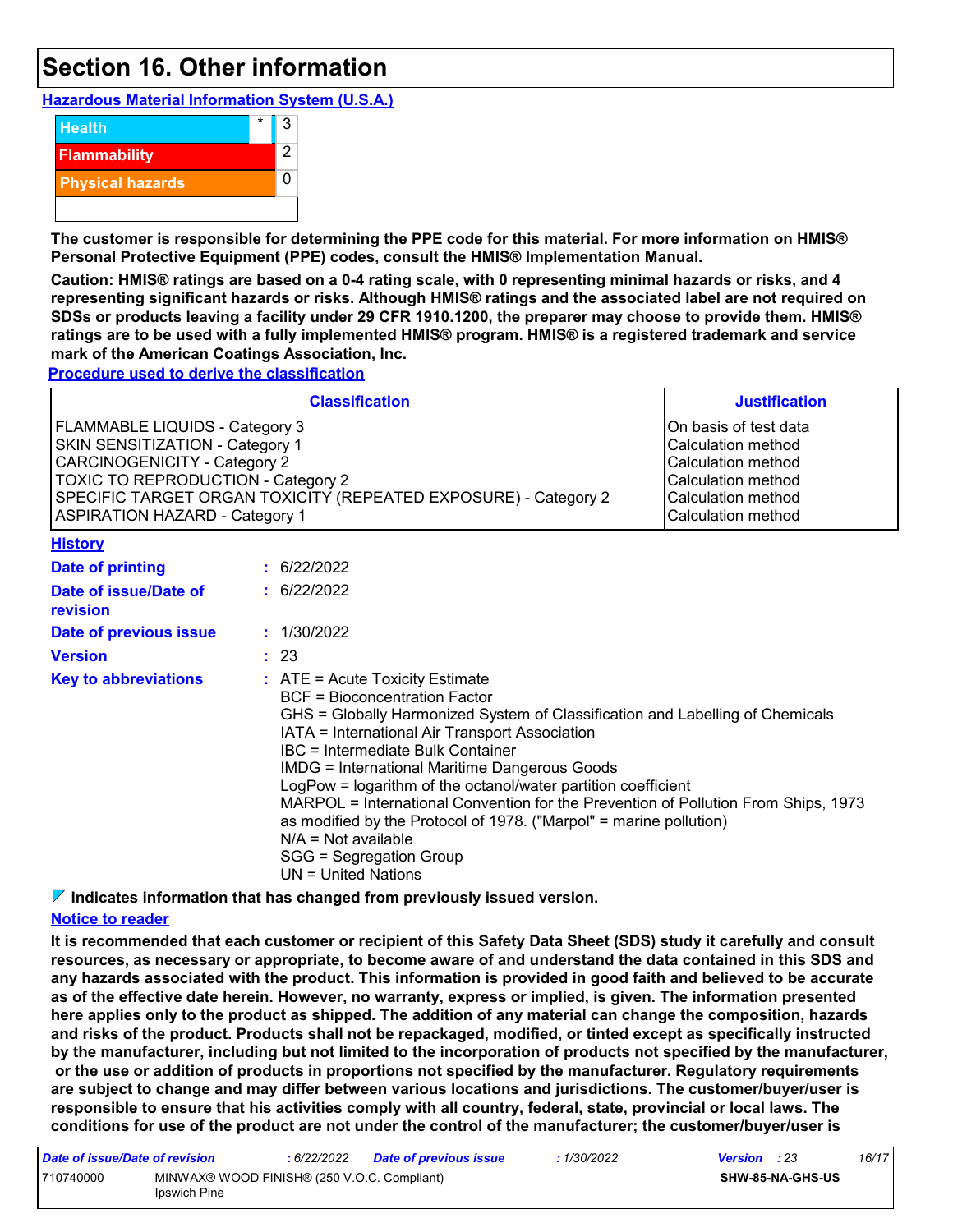### **Section 16. Other information**

**Hazardous Material Information System (U.S.A.)**



**The customer is responsible for determining the PPE code for this material. For more information on HMIS® Personal Protective Equipment (PPE) codes, consult the HMIS® Implementation Manual.**

**Caution: HMIS® ratings are based on a 0-4 rating scale, with 0 representing minimal hazards or risks, and 4 representing significant hazards or risks. Although HMIS® ratings and the associated label are not required on SDSs or products leaving a facility under 29 CFR 1910.1200, the preparer may choose to provide them. HMIS® ratings are to be used with a fully implemented HMIS® program. HMIS® is a registered trademark and service mark of the American Coatings Association, Inc.**

**Procedure used to derive the classification**

|                                                                                                                                                                                                                                                                          | <b>Justification</b>                                                                                                                |                                                                                                                                                                                                                                                                                                                                                                                                                                                                                                                                                                                                                     |  |  |  |  |  |
|--------------------------------------------------------------------------------------------------------------------------------------------------------------------------------------------------------------------------------------------------------------------------|-------------------------------------------------------------------------------------------------------------------------------------|---------------------------------------------------------------------------------------------------------------------------------------------------------------------------------------------------------------------------------------------------------------------------------------------------------------------------------------------------------------------------------------------------------------------------------------------------------------------------------------------------------------------------------------------------------------------------------------------------------------------|--|--|--|--|--|
| <b>FLAMMABLE LIQUIDS - Category 3</b><br>SKIN SENSITIZATION - Category 1<br><b>CARCINOGENICITY - Category 2</b><br><b>TOXIC TO REPRODUCTION - Category 2</b><br>SPECIFIC TARGET ORGAN TOXICITY (REPEATED EXPOSURE) - Category 2<br><b>ASPIRATION HAZARD - Category 1</b> | On basis of test data<br>Calculation method<br>Calculation method<br>Calculation method<br>Calculation method<br>Calculation method |                                                                                                                                                                                                                                                                                                                                                                                                                                                                                                                                                                                                                     |  |  |  |  |  |
| <b>History</b>                                                                                                                                                                                                                                                           |                                                                                                                                     |                                                                                                                                                                                                                                                                                                                                                                                                                                                                                                                                                                                                                     |  |  |  |  |  |
| <b>Date of printing</b>                                                                                                                                                                                                                                                  |                                                                                                                                     | : 6/22/2022                                                                                                                                                                                                                                                                                                                                                                                                                                                                                                                                                                                                         |  |  |  |  |  |
| Date of issue/Date of<br>revision                                                                                                                                                                                                                                        | : 6/22/2022                                                                                                                         |                                                                                                                                                                                                                                                                                                                                                                                                                                                                                                                                                                                                                     |  |  |  |  |  |
| Date of previous issue                                                                                                                                                                                                                                                   |                                                                                                                                     | : 1/30/2022                                                                                                                                                                                                                                                                                                                                                                                                                                                                                                                                                                                                         |  |  |  |  |  |
| <b>Version</b>                                                                                                                                                                                                                                                           |                                                                                                                                     | : 23                                                                                                                                                                                                                                                                                                                                                                                                                                                                                                                                                                                                                |  |  |  |  |  |
| <b>Key to abbreviations</b>                                                                                                                                                                                                                                              |                                                                                                                                     | $:$ ATE = Acute Toxicity Estimate<br><b>BCF</b> = Bioconcentration Factor<br>GHS = Globally Harmonized System of Classification and Labelling of Chemicals<br>IATA = International Air Transport Association<br>IBC = Intermediate Bulk Container<br><b>IMDG = International Maritime Dangerous Goods</b><br>LogPow = logarithm of the octanol/water partition coefficient<br>MARPOL = International Convention for the Prevention of Pollution From Ships, 1973<br>as modified by the Protocol of 1978. ("Marpol" = marine pollution)<br>$N/A = Not available$<br>SGG = Segregation Group<br>$UN = United Nations$ |  |  |  |  |  |

**Indicates information that has changed from previously issued version.**

#### **Notice to reader**

**It is recommended that each customer or recipient of this Safety Data Sheet (SDS) study it carefully and consult resources, as necessary or appropriate, to become aware of and understand the data contained in this SDS and any hazards associated with the product. This information is provided in good faith and believed to be accurate as of the effective date herein. However, no warranty, express or implied, is given. The information presented here applies only to the product as shipped. The addition of any material can change the composition, hazards and risks of the product. Products shall not be repackaged, modified, or tinted except as specifically instructed by the manufacturer, including but not limited to the incorporation of products not specified by the manufacturer, or the use or addition of products in proportions not specified by the manufacturer. Regulatory requirements are subject to change and may differ between various locations and jurisdictions. The customer/buyer/user is responsible to ensure that his activities comply with all country, federal, state, provincial or local laws. The conditions for use of the product are not under the control of the manufacturer; the customer/buyer/user is** 

| Date of issue/Date of revision |                                                             | : 6/22/2022 | <b>Date of previous issue</b> | : 1/30/2022 | <b>Version</b> : 23     |  | 16/17 |
|--------------------------------|-------------------------------------------------------------|-------------|-------------------------------|-------------|-------------------------|--|-------|
| 710740000                      | MINWAX® WOOD FINISH® (250 V.O.C. Compliant)<br>Ipswich Pine |             |                               |             | <b>SHW-85-NA-GHS-US</b> |  |       |